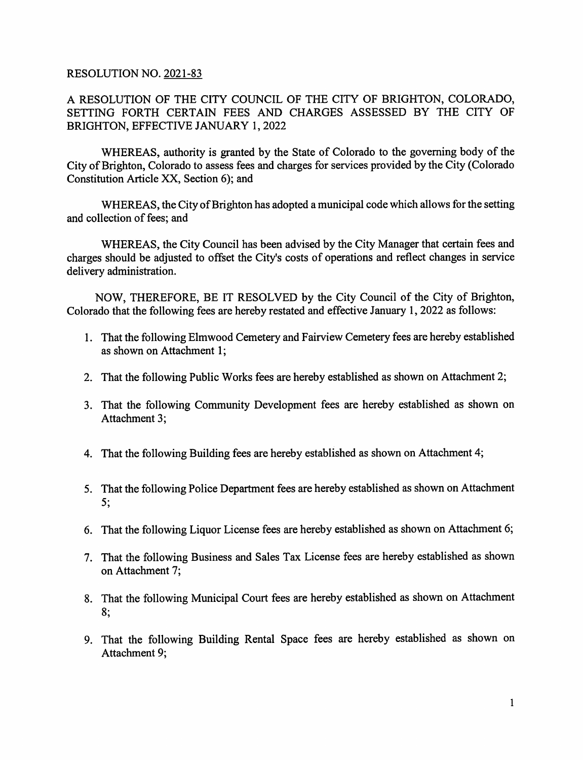#### RESOLUTION NO. 2021-83

A RESOLUTION OF THE CITY COUNCIL OF THE CITY OF BRIGHTON, COLORADO, SETTING FORTH CERTAIN FEES AND CHARGES ASSESSED BY THE CITY OF BRIGHTON, EFFECTIVE JANUARY 1, 2022

WHEREAS, authority is granted by the State of Colorado to the governing body of the City of Brighton, Colorado to assess fees and charges for services provided by the City (Colorado Constitution Article XX, Section 6); and

WHEREAS, the City of Brighton has adopted a municipal code which allows for the setting and collection of fees; and

WHEREAS, the City Council has been advised by the City Manager that certain fees and charges should be adjusted to offset the City's costs of operations and reflect changes in service delivery administration.

NOW, THEREFORE, BE IT RESOLVED by the City Council of the City of Brighton, Colorado that the following fees are hereby restated and effective January 1, 2022 as follows:

- 1. That the following Elmwood Cemetery and Fairview Cemetery fees are hereby established as shown on Attachment 1;
- 2. That the following Public Works fees are hereby established as shown on Attachment 2;
- 3. That the following Community Development fees are hereby established as shown on Attachment 3;
- 4. That the following Building fees are hereby established as shown on Attachment 4;
- 5. That the following Police Department fees are hereby established as shown on Attachment 5;
- 6. That the following Liquor License fees are hereby established as shown on Attachment 6;
- 7. That the following Business and Sales Tax License fees are hereby established as shown on Attachment 7;
- 8. That the following Municipal Court fees are hereby established as shown on Attachment 8;
- 9. That the following Building Rental Space fees are hereby established as shown on Attachment 9;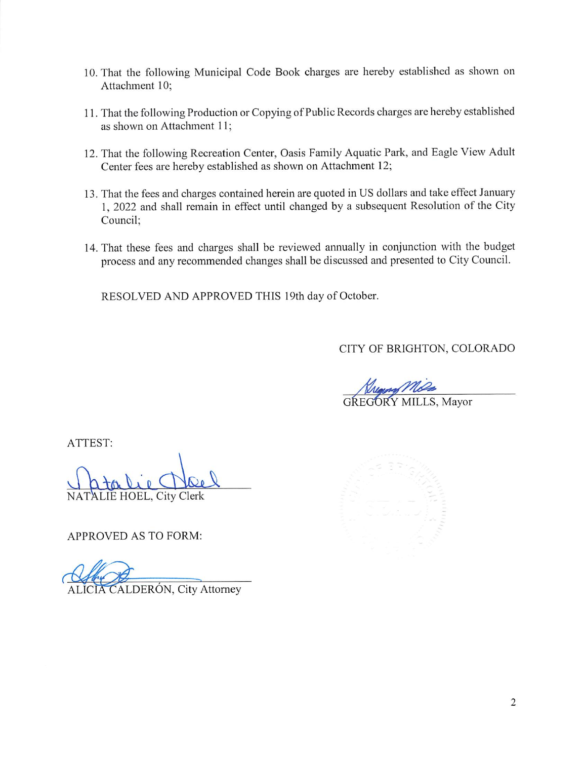- 10. That the following Municipal Code Book charges are hereby established as shown on Attachment 10;
- 11. That the following Production or Copying of Public Records charges are hereby established as shown on Attachment 11;
- 12. That the following Recreation Center, Oasis Family Aquatic Park, and Eagle View Adult Center fees are hereby established as shown on Attachment 12;
- 13. That the fees and charges contained herein are quoted in US dollars and take effect January 1, 2022 and shall remain in effect until changed by a subsequent Resolution of the City Council;
- 14. That these fees and charges shall be reviewed annually in conjunction with the budget process and any recommended changes shall be discussed and presented to City Council.

RESOLVED AND APPROVED THIS 19th day of October.

CITY OF BRIGHTON, COLORADO

GREGORY MILLS, Mayor

ATTEST;

Clerk

APPROVED AS TO FORM:

CALDERÓN, City Attorney

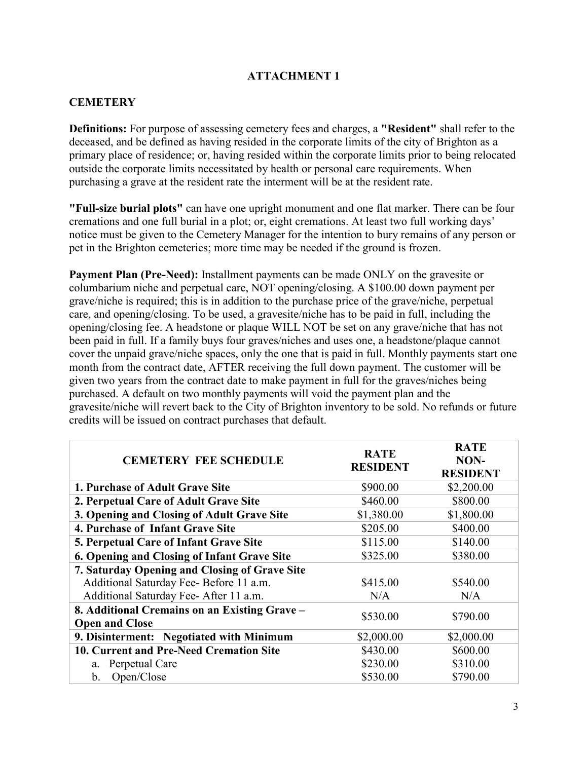# **CEMETERY**

**Definitions:** For purpose of assessing cemetery fees and charges, a **"Resident"** shall refer to the deceased, and be defined as having resided in the corporate limits of the city of Brighton as a primary place of residence; or, having resided within the corporate limits prior to being relocated outside the corporate limits necessitated by health or personal care requirements. When purchasing a grave at the resident rate the interment will be at the resident rate.

**"Full-size burial plots"** can have one upright monument and one flat marker. There can be four cremations and one full burial in a plot; or, eight cremations. At least two full working days' notice must be given to the Cemetery Manager for the intention to bury remains of any person or pet in the Brighton cemeteries; more time may be needed if the ground is frozen.

**Payment Plan (Pre-Need):** Installment payments can be made ONLY on the gravesite or columbarium niche and perpetual care, NOT opening/closing. A \$100.00 down payment per grave/niche is required; this is in addition to the purchase price of the grave/niche, perpetual care, and opening/closing. To be used, a gravesite/niche has to be paid in full, including the opening/closing fee. A headstone or plaque WILL NOT be set on any grave/niche that has not been paid in full. If a family buys four graves/niches and uses one, a headstone/plaque cannot cover the unpaid grave/niche spaces, only the one that is paid in full. Monthly payments start one month from the contract date, AFTER receiving the full down payment. The customer will be given two years from the contract date to make payment in full for the graves/niches being purchased. A default on two monthly payments will void the payment plan and the gravesite/niche will revert back to the City of Brighton inventory to be sold. No refunds or future credits will be issued on contract purchases that default.

| <b>CEMETERY FEE SCHEDULE</b>                                           | <b>RATE</b><br><b>RESIDENT</b> | <b>RATE</b><br>NON-<br><b>RESIDENT</b> |
|------------------------------------------------------------------------|--------------------------------|----------------------------------------|
| 1. Purchase of Adult Grave Site                                        | \$900.00                       | \$2,200.00                             |
| 2. Perpetual Care of Adult Grave Site                                  | \$460.00                       | \$800.00                               |
| 3. Opening and Closing of Adult Grave Site                             | \$1,380.00                     | \$1,800.00                             |
| 4. Purchase of Infant Grave Site                                       | \$205.00                       | \$400.00                               |
| <b>5. Perpetual Care of Infant Grave Site</b>                          | \$115.00                       | \$140.00                               |
| 6. Opening and Closing of Infant Grave Site                            | \$325.00                       | \$380.00                               |
| 7. Saturday Opening and Closing of Grave Site                          |                                |                                        |
| Additional Saturday Fee- Before 11 a.m.                                | \$415.00                       | \$540.00                               |
| Additional Saturday Fee-After 11 a.m.                                  | N/A                            | N/A                                    |
| 8. Additional Cremains on an Existing Grave -<br><b>Open and Close</b> | \$530.00                       | \$790.00                               |
| 9. Disinterment: Negotiated with Minimum                               | \$2,000.00                     | \$2,000.00                             |
| 10. Current and Pre-Need Cremation Site                                | \$430.00                       | \$600.00                               |
| a. Perpetual Care                                                      | \$230.00                       | \$310.00                               |
| Open/Close<br>b.                                                       | \$530.00                       | \$790.00                               |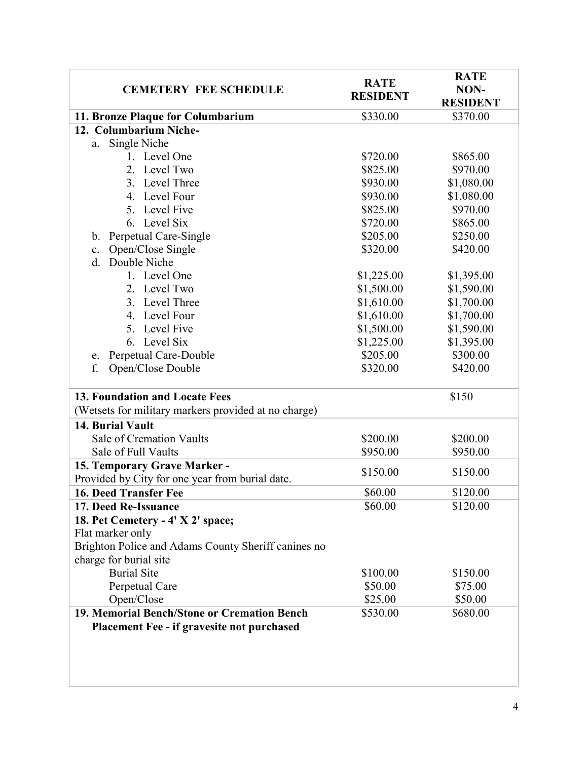| <b>CEMETERY FEE SCHEDULE</b>                         | <b>RATE</b><br><b>RESIDENT</b> | <b>RATE</b><br>NON-<br><b>RESIDENT</b> |
|------------------------------------------------------|--------------------------------|----------------------------------------|
| 11. Bronze Plaque for Columbarium                    | \$330.00                       | \$370.00                               |
| 12. Columbarium Niche-                               |                                |                                        |
| Single Niche<br>a.                                   |                                |                                        |
| 1. Level One                                         | \$720.00                       | \$865.00                               |
| 2. Level Two                                         | \$825.00                       | \$970.00                               |
| 3. Level Three                                       | \$930.00                       | \$1,080.00                             |
| 4. Level Four                                        | \$930.00                       | \$1,080.00                             |
| 5. Level Five                                        | \$825.00                       | \$970.00                               |
| 6. Level Six                                         | \$720.00                       | \$865.00                               |
| Perpetual Care-Single<br>b.                          | \$205.00                       | \$250.00                               |
| Open/Close Single<br>c.                              | \$320.00                       | \$420.00                               |
| Double Niche<br>d.                                   |                                |                                        |
| 1. Level One                                         | \$1,225.00                     | \$1,395.00                             |
| 2. Level Two                                         | \$1,500.00                     | \$1,590.00                             |
| 3. Level Three                                       | \$1,610.00                     | \$1,700.00                             |
| 4. Level Four                                        | \$1,610.00                     | \$1,700.00                             |
| 5. Level Five                                        | \$1,500.00                     | \$1,590.00                             |
| 6. Level Six                                         | \$1,225.00                     | \$1,395.00                             |
| Perpetual Care-Double<br>e.                          | \$205.00                       | \$300.00                               |
| f.<br>Open/Close Double                              | \$320.00                       | \$420.00                               |
|                                                      |                                |                                        |
| <b>13. Foundation and Locate Fees</b>                |                                | \$150                                  |
| (Wetsets for military markers provided at no charge) |                                |                                        |
| 14. Burial Vault                                     |                                |                                        |
| Sale of Cremation Vaults                             | \$200.00                       | \$200.00                               |
| Sale of Full Vaults                                  | \$950.00                       | \$950.00                               |
| 15. Temporary Grave Marker -                         | \$150.00                       | \$150.00                               |
| Provided by City for one year from burial date.      |                                |                                        |
| <b>16. Deed Transfer Fee</b>                         | \$60.00                        | \$120.00                               |
| 17. Deed Re-Issuance                                 | \$60.00                        | \$120.00                               |
| 18. Pet Cemetery - 4' X 2' space;                    |                                |                                        |
| Flat marker only                                     |                                |                                        |
| Brighton Police and Adams County Sheriff canines no  |                                |                                        |
| charge for burial site                               |                                |                                        |
| <b>Burial Site</b>                                   | \$100.00                       | \$150.00                               |
| Perpetual Care                                       | \$50.00                        | \$75.00                                |
| Open/Close                                           | \$25.00                        | \$50.00                                |
| 19. Memorial Bench/Stone or Cremation Bench          | \$530.00                       | \$680.00                               |
| <b>Placement Fee - if gravesite not purchased</b>    |                                |                                        |
|                                                      |                                |                                        |
|                                                      |                                |                                        |
|                                                      |                                |                                        |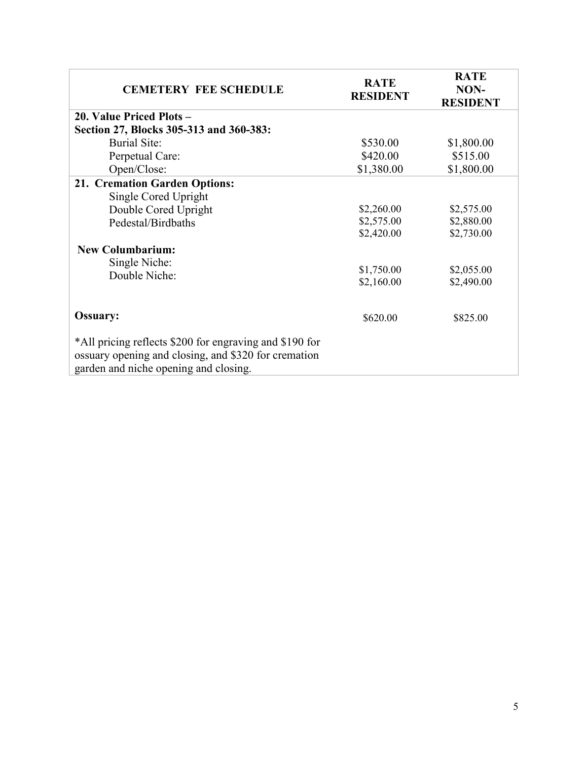| <b>CEMETERY FEE SCHEDULE</b>                                                                                                                             | <b>RATE</b><br><b>RESIDENT</b> | <b>RATE</b><br>NON-<br><b>RESIDENT</b> |
|----------------------------------------------------------------------------------------------------------------------------------------------------------|--------------------------------|----------------------------------------|
| 20. Value Priced Plots -                                                                                                                                 |                                |                                        |
| Section 27, Blocks 305-313 and 360-383:                                                                                                                  |                                |                                        |
| <b>Burial Site:</b>                                                                                                                                      | \$530.00                       | \$1,800.00                             |
| Perpetual Care:                                                                                                                                          | \$420.00                       | \$515.00                               |
| Open/Close:                                                                                                                                              | \$1,380.00                     | \$1,800.00                             |
| 21. Cremation Garden Options:                                                                                                                            |                                |                                        |
| Single Cored Upright                                                                                                                                     |                                |                                        |
| Double Cored Upright                                                                                                                                     | \$2,260.00                     | \$2,575.00                             |
| Pedestal/Birdbaths                                                                                                                                       | \$2,575.00                     | \$2,880.00                             |
|                                                                                                                                                          | \$2,420.00                     | \$2,730.00                             |
| <b>New Columbarium:</b>                                                                                                                                  |                                |                                        |
| Single Niche:                                                                                                                                            |                                |                                        |
| Double Niche:                                                                                                                                            | \$1,750.00                     | \$2,055.00                             |
|                                                                                                                                                          | \$2,160.00                     | \$2,490.00                             |
| <b>Ossuary:</b>                                                                                                                                          | \$620.00                       | \$825.00                               |
| *All pricing reflects \$200 for engraving and \$190 for<br>ossuary opening and closing, and \$320 for cremation<br>garden and niche opening and closing. |                                |                                        |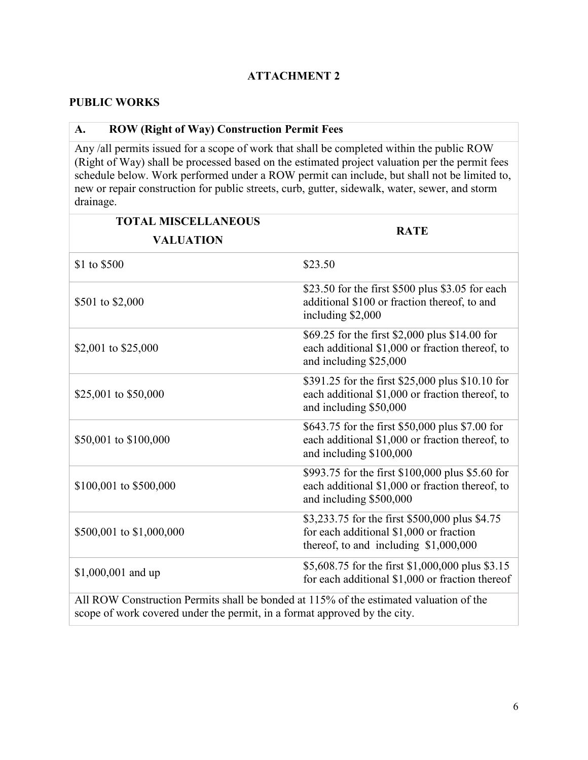#### **PUBLIC WORKS**

# **A. ROW (Right of Way) Construction Permit Fees**

Any /all permits issued for a scope of work that shall be completed within the public ROW (Right of Way) shall be processed based on the estimated project valuation per the permit fees schedule below. Work performed under a ROW permit can include, but shall not be limited to, new or repair construction for public streets, curb, gutter, sidewalk, water, sewer, and storm drainage.

| <b>TOTAL MISCELLANEOUS</b><br><b>VALUATION</b>                                         | <b>RATE</b>                                                                                                                         |
|----------------------------------------------------------------------------------------|-------------------------------------------------------------------------------------------------------------------------------------|
| \$1 to \$500                                                                           | \$23.50                                                                                                                             |
| \$501 to \$2,000                                                                       | \$23.50 for the first \$500 plus \$3.05 for each<br>additional \$100 or fraction thereof, to and<br>including \$2,000               |
| \$2,001 to \$25,000                                                                    | \$69.25 for the first \$2,000 plus \$14.00 for<br>each additional \$1,000 or fraction thereof, to<br>and including \$25,000         |
| \$25,001 to \$50,000                                                                   | \$391.25 for the first \$25,000 plus \$10.10 for<br>each additional \$1,000 or fraction thereof, to<br>and including \$50,000       |
| \$50,001 to \$100,000                                                                  | \$643.75 for the first \$50,000 plus \$7.00 for<br>each additional \$1,000 or fraction thereof, to<br>and including \$100,000       |
| \$100,001 to \$500,000                                                                 | \$993.75 for the first \$100,000 plus \$5.60 for<br>each additional \$1,000 or fraction thereof, to<br>and including \$500,000      |
| \$500,001 to \$1,000,000                                                               | \$3,233.75 for the first \$500,000 plus \$4.75<br>for each additional \$1,000 or fraction<br>thereof, to and including $$1,000,000$ |
| \$1,000,001 and up                                                                     | \$5,608.75 for the first \$1,000,000 plus \$3.15<br>for each additional \$1,000 or fraction thereof                                 |
| All ROW Construction Permits shall be bonded at 115% of the estimated valuation of the |                                                                                                                                     |

scope of work covered under the permit, in a format approved by the city.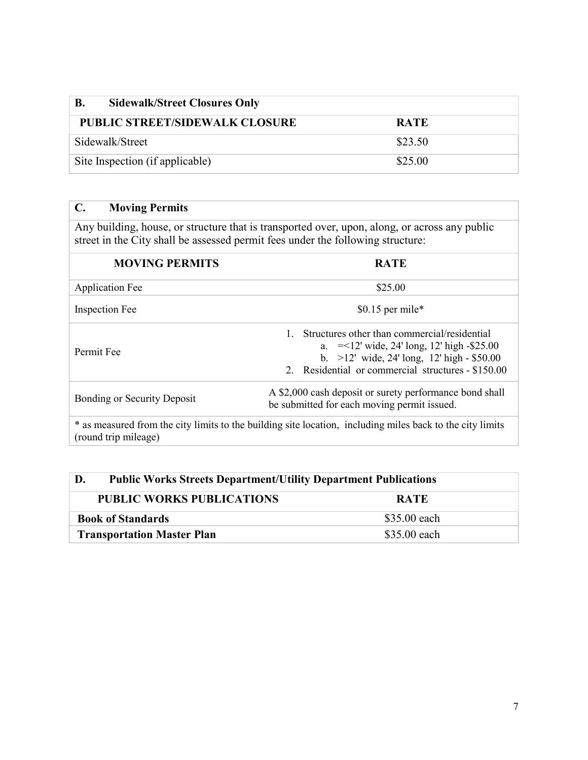| В.<br><b>Sidewalk/Street Closures Only</b> |             |
|--------------------------------------------|-------------|
| <b>PUBLIC STREET/SIDEWALK CLOSURE</b>      | <b>RATE</b> |
| Sidewalk/Street                            | \$23.50     |
| Site Inspection (if applicable)            | \$25.00     |

# **C. Moving Permits**

Any building, house, or structure that is transported over, upon, along, or across any public street in the City shall be assessed permit fees under the following structure:

| <b>MOVING PERMITS</b>                                                                                                                        | <b>RATE</b>                                                                                                                                                                                         |
|----------------------------------------------------------------------------------------------------------------------------------------------|-----------------------------------------------------------------------------------------------------------------------------------------------------------------------------------------------------|
| <b>Application Fee</b>                                                                                                                       | \$25.00                                                                                                                                                                                             |
| <b>Inspection Fee</b>                                                                                                                        | \$0.15 per mile*                                                                                                                                                                                    |
| Permit Fee                                                                                                                                   | Structures other than commercial/residential<br>a. $=$ <12' wide, 24' long, 12' high -\$25.00<br>b. $>12'$ wide, 24' long, 12' high - \$50.00<br>2. Residential or commercial structures - \$150.00 |
| A \$2,000 cash deposit or surety performance bond shall<br><b>Bonding or Security Deposit</b><br>be submitted for each moving permit issued. |                                                                                                                                                                                                     |
| (round trip mileage)                                                                                                                         | * as measured from the city limits to the building site location, including miles back to the city limits                                                                                           |

| D.<br><b>Public Works Streets Department/Utility Department Publications</b> |              |  |
|------------------------------------------------------------------------------|--------------|--|
| <b>PUBLIC WORKS PUBLICATIONS</b>                                             | <b>RATE</b>  |  |
| <b>Book of Standards</b>                                                     | \$35.00 each |  |
| <b>Transportation Master Plan</b>                                            | \$35.00 each |  |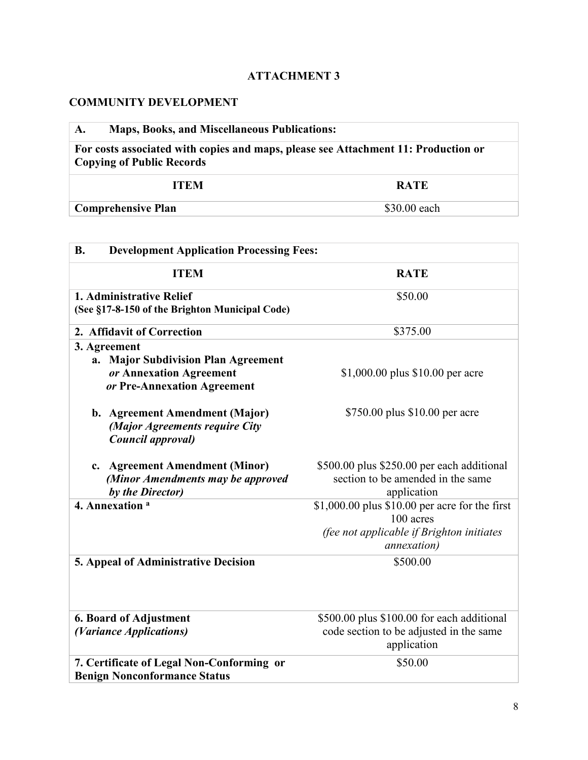# **COMMUNITY DEVELOPMENT**

| <b>Maps, Books, and Miscellaneous Publications:</b><br>A.                                                              |              |  |
|------------------------------------------------------------------------------------------------------------------------|--------------|--|
| For costs associated with copies and maps, please see Attachment 11: Production or<br><b>Copying of Public Records</b> |              |  |
| <b>ITEM</b>                                                                                                            | <b>RATE</b>  |  |
| <b>Comprehensive Plan</b>                                                                                              | \$30.00 each |  |

| <b>Development Application Processing Fees:</b><br><b>B.</b> |                                                        |  |
|--------------------------------------------------------------|--------------------------------------------------------|--|
| <b>ITEM</b>                                                  | <b>RATE</b>                                            |  |
| 1. Administrative Relief                                     | \$50.00                                                |  |
| (See §17-8-150 of the Brighton Municipal Code)               |                                                        |  |
| 2. Affidavit of Correction                                   | \$375.00                                               |  |
| 3. Agreement                                                 |                                                        |  |
| a. Major Subdivision Plan Agreement                          |                                                        |  |
| or Annexation Agreement                                      | \$1,000.00 plus \$10.00 per acre                       |  |
| or Pre-Annexation Agreement                                  |                                                        |  |
| b. Agreement Amendment (Major)                               | \$750.00 plus \$10.00 per acre                         |  |
| (Major Agreements require City                               |                                                        |  |
| Council approval)                                            |                                                        |  |
| <b>Agreement Amendment (Minor)</b><br>c.                     | \$500.00 plus \$250.00 per each additional             |  |
| (Minor Amendments may be approved                            | section to be amended in the same                      |  |
| by the Director)                                             | application                                            |  |
| 4. Annexation <sup>a</sup>                                   | $$1,000.00$ plus $$10.00$ per acre for the first       |  |
|                                                              | 100 acres                                              |  |
|                                                              | (fee not applicable if Brighton initiates              |  |
|                                                              | <i>annexation</i> )                                    |  |
| 5. Appeal of Administrative Decision                         | \$500.00                                               |  |
|                                                              |                                                        |  |
| <b>6. Board of Adjustment</b>                                | \$500.00 plus \$100.00 for each additional             |  |
| (Variance Applications)                                      | code section to be adjusted in the same<br>application |  |
| 7. Certificate of Legal Non-Conforming or                    | \$50.00                                                |  |
| <b>Benign Nonconformance Status</b>                          |                                                        |  |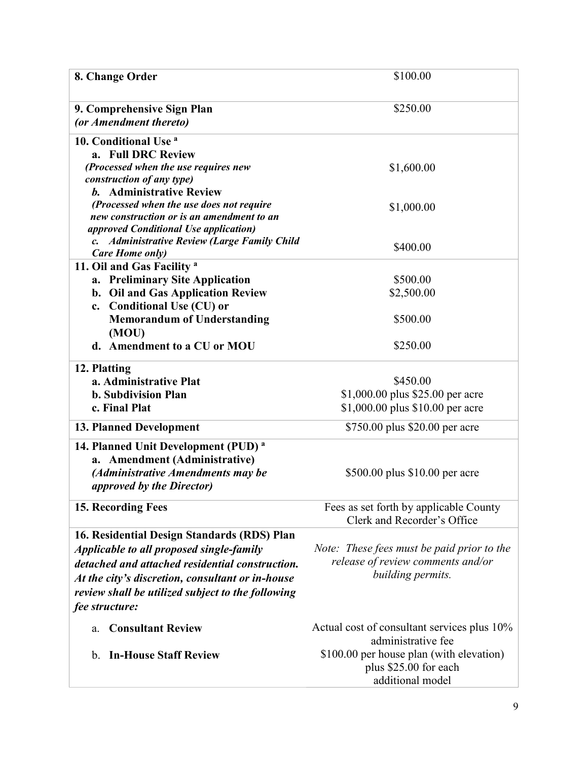| 8. Change Order                                                     | \$100.00                                    |
|---------------------------------------------------------------------|---------------------------------------------|
|                                                                     |                                             |
| 9. Comprehensive Sign Plan                                          | \$250.00                                    |
| (or Amendment thereto)                                              |                                             |
| 10. Conditional Use <sup>a</sup>                                    |                                             |
| a. Full DRC Review                                                  |                                             |
| (Processed when the use requires new                                | \$1,600.00                                  |
| construction of any type)                                           |                                             |
| <b>b.</b> Administrative Review                                     |                                             |
| (Processed when the use does not require                            | \$1,000.00                                  |
| new construction or is an amendment to an                           |                                             |
| approved Conditional Use application)                               |                                             |
| <b>Administrative Review (Large Family Child</b><br>$\mathcal{C}$ . | \$400.00                                    |
| Care Home only)                                                     |                                             |
| 11. Oil and Gas Facility <sup>a</sup>                               | \$500.00                                    |
| a. Preliminary Site Application                                     |                                             |
| b. Oil and Gas Application Review                                   | \$2,500.00                                  |
| c. Conditional Use (CU) or                                          |                                             |
| <b>Memorandum of Understanding</b>                                  | \$500.00                                    |
| (MOU)                                                               |                                             |
| d. Amendment to a CU or MOU                                         | \$250.00                                    |
| 12. Platting                                                        |                                             |
| a. Administrative Plat                                              | \$450.00                                    |
| <b>b.</b> Subdivision Plan                                          | \$1,000.00 plus \$25.00 per acre            |
| c. Final Plat                                                       | \$1,000.00 plus \$10.00 per acre            |
| <b>13. Planned Development</b>                                      | \$750.00 plus \$20.00 per acre              |
|                                                                     |                                             |
| 14. Planned Unit Development (PUD) <sup>a</sup>                     |                                             |
| a. Amendment (Administrative)                                       |                                             |
| (Administrative Amendments may be                                   | \$500.00 plus \$10.00 per acre              |
| <i>approved by the Director)</i>                                    |                                             |
| 15. Recording Fees                                                  | Fees as set forth by applicable County      |
|                                                                     | Clerk and Recorder's Office                 |
| 16. Residential Design Standards (RDS) Plan                         |                                             |
| Applicable to all proposed single-family                            | Note: These fees must be paid prior to the  |
| detached and attached residential construction.                     | release of review comments and/or           |
| At the city's discretion, consultant or in-house                    | building permits.                           |
| review shall be utilized subject to the following                   |                                             |
|                                                                     |                                             |
| fee structure:                                                      |                                             |
| <b>Consultant Review</b><br>a.                                      | Actual cost of consultant services plus 10% |
|                                                                     | administrative fee                          |
| <b>In-House Staff Review</b><br>b.                                  | \$100.00 per house plan (with elevation)    |
|                                                                     | plus \$25.00 for each                       |
|                                                                     | additional model                            |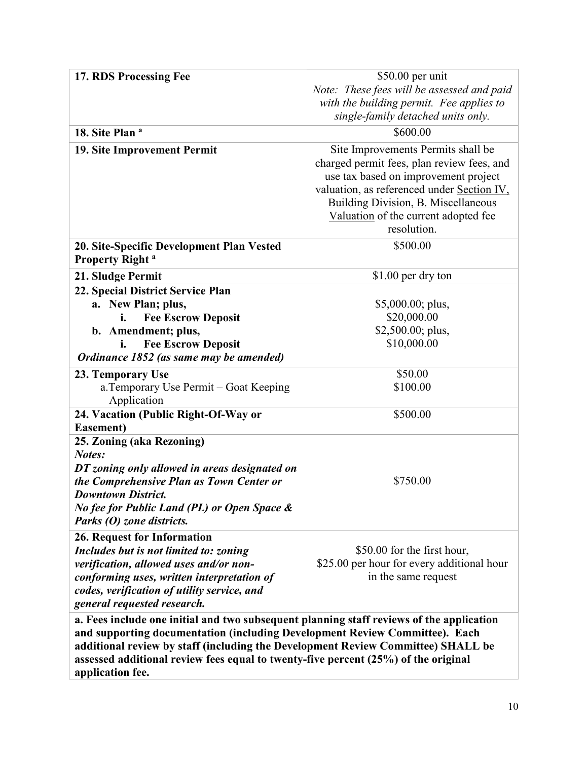| 17. RDS Processing Fee                                                                   | $$50.00$ per unit                          |
|------------------------------------------------------------------------------------------|--------------------------------------------|
|                                                                                          | Note: These fees will be assessed and paid |
|                                                                                          | with the building permit. Fee applies to   |
|                                                                                          | single-family detached units only.         |
| 18. Site Plan <sup>a</sup>                                                               | \$600.00                                   |
| 19. Site Improvement Permit                                                              | Site Improvements Permits shall be         |
|                                                                                          | charged permit fees, plan review fees, and |
|                                                                                          | use tax based on improvement project       |
|                                                                                          | valuation, as referenced under Section IV, |
|                                                                                          | <b>Building Division, B. Miscellaneous</b> |
|                                                                                          | Valuation of the current adopted fee       |
|                                                                                          | resolution.                                |
| 20. Site-Specific Development Plan Vested                                                | \$500.00                                   |
| <b>Property Right</b> <sup>a</sup>                                                       |                                            |
|                                                                                          | \$1.00 per dry ton                         |
| 21. Sludge Permit                                                                        |                                            |
| 22. Special District Service Plan<br>a. New Plan; plus,                                  | $$5,000.00;$ plus,                         |
| <b>Fee Escrow Deposit</b>                                                                | \$20,000.00                                |
| b. Amendment; plus,                                                                      | $$2,500.00;$ plus,                         |
| i.<br><b>Fee Escrow Deposit</b>                                                          | \$10,000.00                                |
| Ordinance 1852 (as same may be amended)                                                  |                                            |
|                                                                                          |                                            |
| 23. Temporary Use                                                                        | \$50.00                                    |
| a. Temporary Use Permit – Goat Keeping                                                   | \$100.00                                   |
| Application                                                                              |                                            |
| 24. Vacation (Public Right-Of-Way or                                                     | \$500.00                                   |
| Easement)                                                                                |                                            |
| 25. Zoning (aka Rezoning)<br>Notes:                                                      |                                            |
| DT zoning only allowed in areas designated on                                            |                                            |
| the Comprehensive Plan as Town Center or                                                 | \$750.00                                   |
| <b>Downtown District.</b>                                                                |                                            |
| No fee for Public Land (PL) or Open Space &                                              |                                            |
| Parks (O) zone districts.                                                                |                                            |
|                                                                                          |                                            |
| 26. Request for Information                                                              | \$50.00 for the first hour,                |
| Includes but is not limited to: zoning<br>verification, allowed uses and/or non-         | \$25.00 per hour for every additional hour |
| conforming uses, written interpretation of                                               | in the same request                        |
|                                                                                          |                                            |
| codes, verification of utility service, and<br>general requested research.               |                                            |
|                                                                                          |                                            |
| a. Fees include one initial and two subsequent planning staff reviews of the application |                                            |
| and supporting documentation (including Development Review Committee). Each              |                                            |
| additional review by staff (including the Development Review Committee) SHALL be         |                                            |
| assessed additional review fees equal to twenty-five percent (25%) of the original       |                                            |
| application fee.                                                                         |                                            |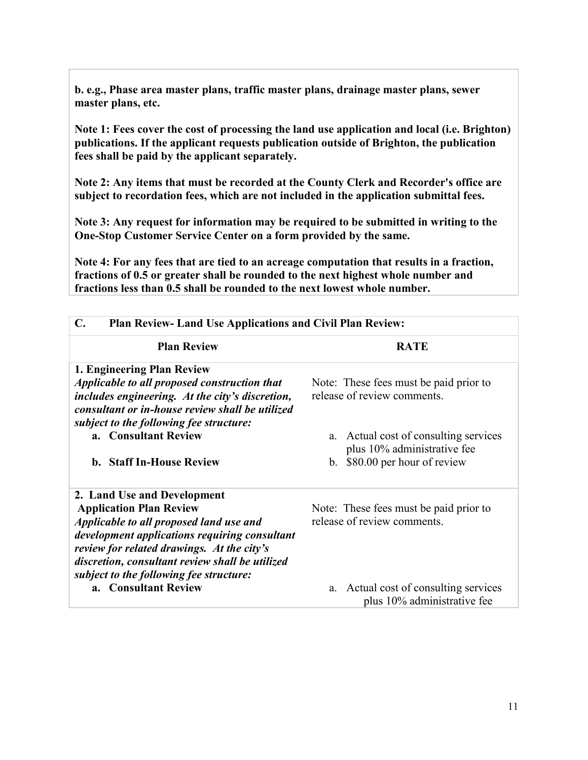**b. e.g., Phase area master plans, traffic master plans, drainage master plans, sewer master plans, etc.**

**Note 1: Fees cover the cost of processing the land use application and local (i.e. Brighton) publications. If the applicant requests publication outside of Brighton, the publication fees shall be paid by the applicant separately.**

**Note 2: Any items that must be recorded at the County Clerk and Recorder's office are subject to recordation fees, which are not included in the application submittal fees.**

**Note 3: Any request for information may be required to be submitted in writing to the One-Stop Customer Service Center on a form provided by the same.**

**Note 4: For any fees that are tied to an acreage computation that results in a fraction, fractions of 0.5 or greater shall be rounded to the next highest whole number and fractions less than 0.5 shall be rounded to the next lowest whole number.**

| $\mathbf{C}$ .<br><b>Plan Review-Land Use Applications and Civil Plan Review:</b>               |                                                                         |
|-------------------------------------------------------------------------------------------------|-------------------------------------------------------------------------|
| <b>Plan Review</b>                                                                              | <b>RATE</b>                                                             |
| 1. Engineering Plan Review                                                                      |                                                                         |
| Applicable to all proposed construction that<br>includes engineering. At the city's discretion, | Note: These fees must be paid prior to<br>release of review comments.   |
| consultant or in-house review shall be utilized                                                 |                                                                         |
| subject to the following fee structure:                                                         |                                                                         |
| a. Consultant Review                                                                            | Actual cost of consulting services<br>a.<br>plus 10% administrative fee |
| <b>b.</b> Staff In-House Review                                                                 | b. \$80.00 per hour of review                                           |
| 2. Land Use and Development                                                                     |                                                                         |
| <b>Application Plan Review</b><br>Applicable to all proposed land use and                       | Note: These fees must be paid prior to<br>release of review comments.   |
| development applications requiring consultant                                                   |                                                                         |
| review for related drawings. At the city's                                                      |                                                                         |
| discretion, consultant review shall be utilized<br>subject to the following fee structure:      |                                                                         |
| a. Consultant Review                                                                            | a. Actual cost of consulting services<br>plus 10% administrative fee    |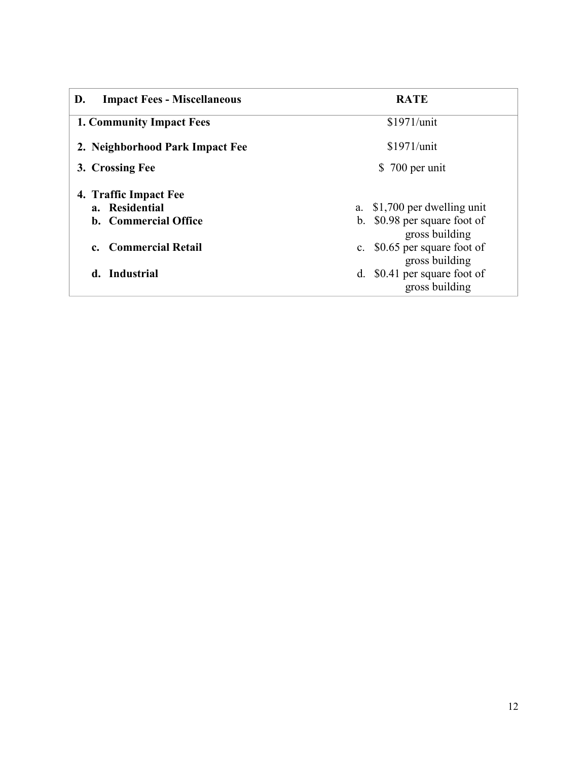| <b>Impact Fees - Miscellaneous</b><br>D.   | <b>RATE</b>                                                |  |
|--------------------------------------------|------------------------------------------------------------|--|
| <b>1. Community Impact Fees</b>            | \$1971/unit                                                |  |
| 2. Neighborhood Park Impact Fee            | \$1971/unit                                                |  |
| 3. Crossing Fee                            | \$700 per unit                                             |  |
| 4. Traffic Impact Fee                      |                                                            |  |
| a. Residential                             | a. \$1,700 per dwelling unit                               |  |
| <b>b.</b> Commercial Office                | b. \$0.98 per square foot of<br>gross building             |  |
| <b>Commercial Retail</b><br>$\mathbf{c}$ . | \$0.65 per square foot of<br>$c_{\cdot}$<br>gross building |  |
| d. Industrial                              | \$0.41 per square foot of<br>d.<br>gross building          |  |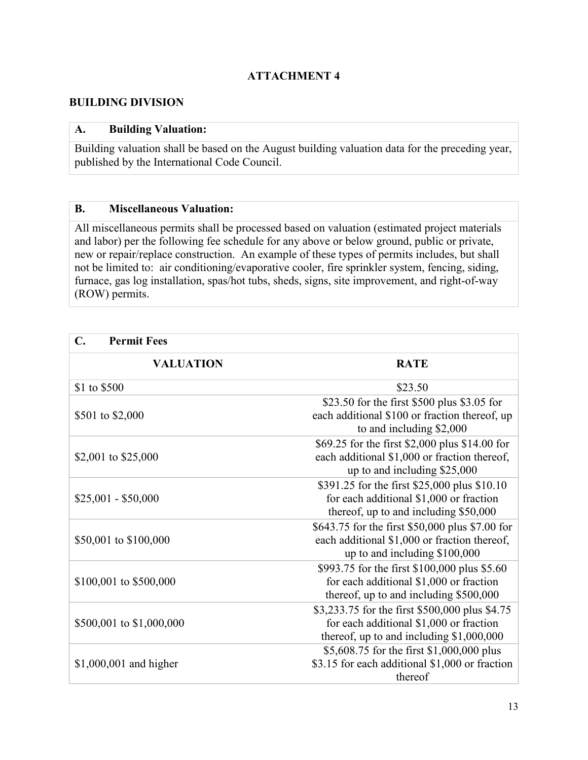#### **BUILDING DIVISION**

#### **A. Building Valuation:**

Building valuation shall be based on the August building valuation data for the preceding year, published by the International Code Council.

#### **B. Miscellaneous Valuation:**

All miscellaneous permits shall be processed based on valuation (estimated project materials and labor) per the following fee schedule for any above or below ground, public or private, new or repair/replace construction. An example of these types of permits includes, but shall not be limited to: air conditioning/evaporative cooler, fire sprinkler system, fencing, siding, furnace, gas log installation, spas/hot tubs, sheds, signs, site improvement, and right-of-way (ROW) permits.

| $\mathbf{C}$ .<br><b>Permit Fees</b> |                                                                                                                                        |
|--------------------------------------|----------------------------------------------------------------------------------------------------------------------------------------|
| <b>VALUATION</b>                     | <b>RATE</b>                                                                                                                            |
| \$1 to \$500                         | \$23.50                                                                                                                                |
| \$501 to \$2,000                     | \$23.50 for the first \$500 plus \$3.05 for<br>each additional \$100 or fraction thereof, up<br>to and including \$2,000               |
| \$2,001 to \$25,000                  | \$69.25 for the first \$2,000 plus \$14.00 for<br>each additional \$1,000 or fraction thereof,<br>up to and including $$25,000$        |
| $$25,001 - $50,000$                  | \$391.25 for the first \$25,000 plus \$10.10<br>for each additional \$1,000 or fraction<br>thereof, up to and including \$50,000       |
| \$50,001 to \$100,000                | \$643.75 for the first \$50,000 plus \$7.00 for<br>each additional \$1,000 or fraction thereof,<br>up to and including $$100,000$      |
| \$100,001 to \$500,000               | \$993.75 for the first \$100,000 plus \$5.60<br>for each additional \$1,000 or fraction<br>thereof, up to and including $$500,000$     |
| \$500,001 to \$1,000,000             | \$3,233.75 for the first \$500,000 plus \$4.75<br>for each additional \$1,000 or fraction<br>thereof, up to and including $$1,000,000$ |
| $$1,000,001$ and higher              | \$5,608.75 for the first \$1,000,000 plus<br>\$3.15 for each additional \$1,000 or fraction<br>thereof                                 |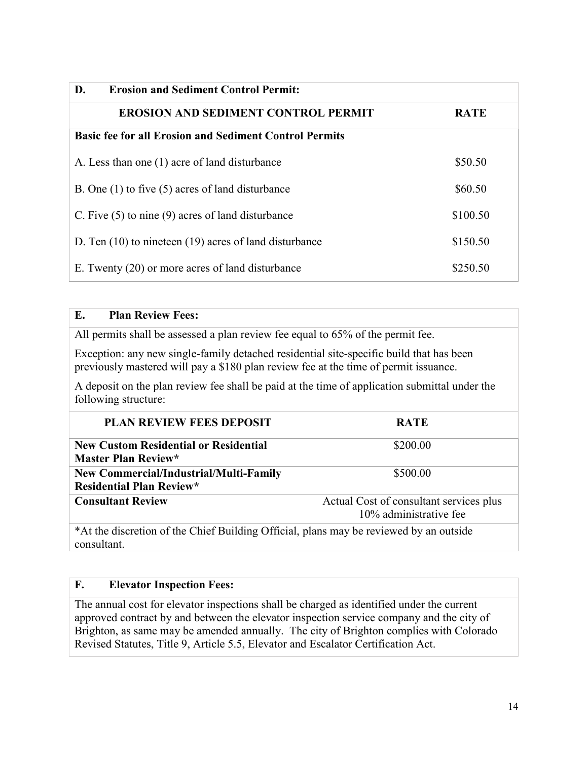| D.<br><b>Erosion and Sediment Control Permit:</b>             |             |
|---------------------------------------------------------------|-------------|
| <b>EROSION AND SEDIMENT CONTROL PERMIT</b>                    | <b>RATE</b> |
| <b>Basic fee for all Erosion and Sediment Control Permits</b> |             |
| A. Less than one (1) acre of land disturbance                 | \$50.50     |
| B. One $(1)$ to five $(5)$ acres of land disturbance          | \$60.50     |
| C. Five $(5)$ to nine $(9)$ acres of land disturbance         | \$100.50    |
| D. Ten $(10)$ to nineteen $(19)$ acres of land disturbance    | \$150.50    |
| E. Twenty (20) or more acres of land disturbance              | \$250.50    |

# **E. Plan Review Fees:**

All permits shall be assessed a plan review fee equal to 65% of the permit fee.

Exception: any new single-family detached residential site-specific build that has been previously mastered will pay a \$180 plan review fee at the time of permit issuance.

A deposit on the plan review fee shall be paid at the time of application submittal under the following structure:

| <b>PLAN REVIEW FEES DEPOSIT</b>                                                                       | <b>RATE</b>                                                       |
|-------------------------------------------------------------------------------------------------------|-------------------------------------------------------------------|
| <b>New Custom Residential or Residential</b><br><b>Master Plan Review*</b>                            | \$200.00                                                          |
| <b>New Commercial/Industrial/Multi-Family</b><br><b>Residential Plan Review*</b>                      | \$500.00                                                          |
| <b>Consultant Review</b>                                                                              | Actual Cost of consultant services plus<br>10% administrative fee |
| *At the discretion of the Chief Building Official, plans may be reviewed by an outside<br>consultant. |                                                                   |

# **F. Elevator Inspection Fees:**

The annual cost for elevator inspections shall be charged as identified under the current approved contract by and between the elevator inspection service company and the city of Brighton, as same may be amended annually. The city of Brighton complies with Colorado Revised Statutes, Title 9, Article 5.5, Elevator and Escalator Certification Act.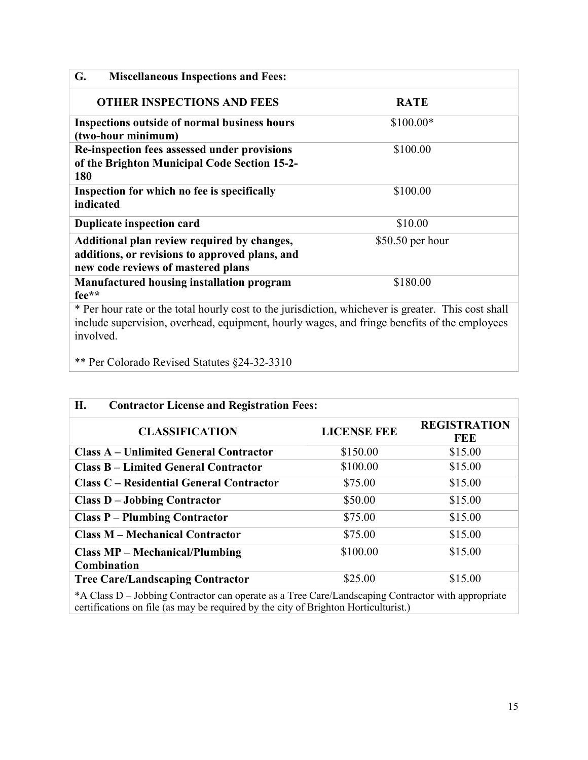| G.<br><b>Miscellaneous Inspections and Fees:</b>                                                                                                                                                                 |                   |
|------------------------------------------------------------------------------------------------------------------------------------------------------------------------------------------------------------------|-------------------|
| <b>OTHER INSPECTIONS AND FEES</b>                                                                                                                                                                                | <b>RATE</b>       |
| <b>Inspections outside of normal business hours</b><br>(two-hour minimum)                                                                                                                                        | $$100.00*$        |
| Re-inspection fees assessed under provisions<br>of the Brighton Municipal Code Section 15-2-<br>180                                                                                                              | \$100.00          |
| Inspection for which no fee is specifically<br>indicated                                                                                                                                                         | \$100.00          |
| <b>Duplicate inspection card</b>                                                                                                                                                                                 | \$10.00           |
| Additional plan review required by changes,<br>additions, or revisions to approved plans, and<br>new code reviews of mastered plans                                                                              | $$50.50$ per hour |
| <b>Manufactured housing installation program</b><br>fee**                                                                                                                                                        | \$180.00          |
| * Per hour rate or the total hourly cost to the jurisdiction, whichever is greater. This cost shall<br>include supervision, overhead, equipment, hourly wages, and fringe benefits of the employees<br>involved. |                   |

\*\* Per Colorado Revised Statutes §24-32-3310

| H.<br><b>Contractor License and Registration Fees:</b>                                            |                    |                            |
|---------------------------------------------------------------------------------------------------|--------------------|----------------------------|
| <b>CLASSIFICATION</b>                                                                             | <b>LICENSE FEE</b> | <b>REGISTRATION</b><br>FEE |
| <b>Class A – Unlimited General Contractor</b>                                                     | \$150.00           | \$15.00                    |
| <b>Class B – Limited General Contractor</b>                                                       | \$100.00           | \$15.00                    |
| <b>Class C – Residential General Contractor</b>                                                   | \$75.00            | \$15.00                    |
| <b>Class D - Jobbing Contractor</b>                                                               | \$50.00            | \$15.00                    |
| <b>Class P – Plumbing Contractor</b>                                                              | \$75.00            | \$15.00                    |
| <b>Class M – Mechanical Contractor</b>                                                            | \$75.00            | \$15.00                    |
| <b>Class MP – Mechanical/Plumbing</b><br>Combination                                              | \$100.00           | \$15.00                    |
| <b>Tree Care/Landscaping Contractor</b>                                                           | \$25.00            | \$15.00                    |
| *A Class D. Jobbing Contractor can operate as a Tree Carol andscaping Contractor with appropriate |                    |                            |

\*A Class D – Jobbing Contractor can operate as a Tree Care/Landscaping Contractor with appropriate certifications on file (as may be required by the city of Brighton Horticulturist.)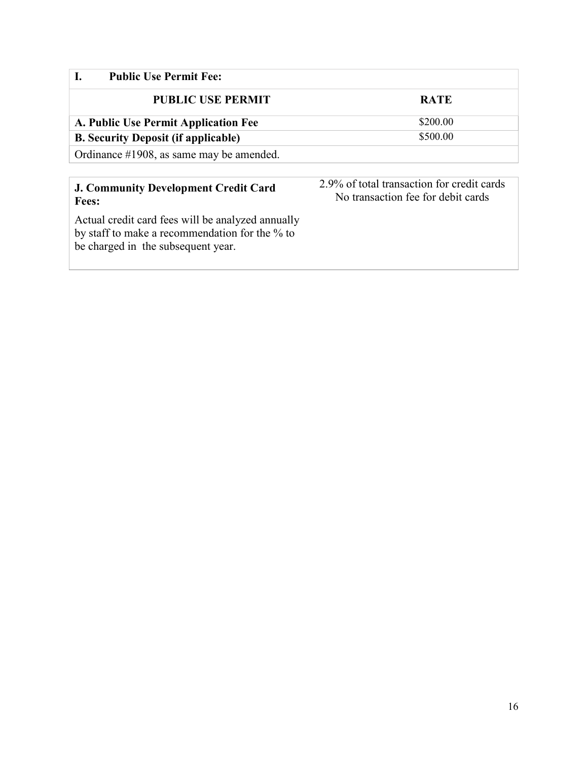| <b>Public Use Permit Fee:</b>                               |                                                                                  |
|-------------------------------------------------------------|----------------------------------------------------------------------------------|
| <b>PUBLIC USE PERMIT</b>                                    | <b>RATE</b>                                                                      |
| A. Public Use Permit Application Fee                        | \$200.00                                                                         |
| <b>B. Security Deposit (if applicable)</b>                  | \$500.00                                                                         |
| Ordinance #1908, as same may be amended.                    |                                                                                  |
|                                                             |                                                                                  |
| <b>J. Community Development Credit Card</b><br><b>Fees:</b> | 2.9% of total transaction for credit cards<br>No transaction fee for debit cards |

Actual credit card fees will be analyzed annually by staff to make a recommendation for the % to be charged in the subsequent year.

# No transaction fee for debit cards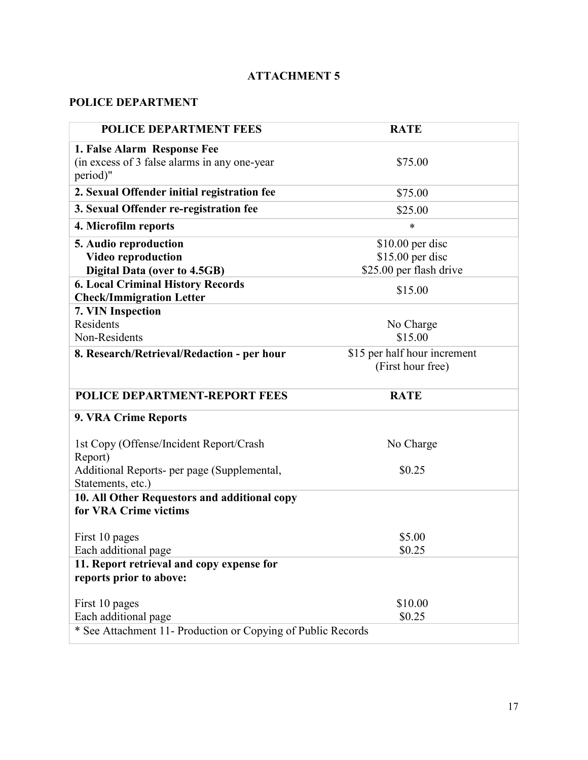# **POLICE DEPARTMENT**

| <b>POLICE DEPARTMENT FEES</b>                                         | <b>RATE</b>                  |  |
|-----------------------------------------------------------------------|------------------------------|--|
| 1. False Alarm Response Fee                                           |                              |  |
| (in excess of 3 false alarms in any one-year                          | \$75.00                      |  |
| period)"                                                              |                              |  |
| 2. Sexual Offender initial registration fee                           | \$75.00                      |  |
| 3. Sexual Offender re-registration fee                                | \$25.00                      |  |
| 4. Microfilm reports                                                  | *                            |  |
| 5. Audio reproduction                                                 | $$10.00$ per disc            |  |
| <b>Video reproduction</b>                                             | $$15.00$ per disc            |  |
| <b>Digital Data (over to 4.5GB)</b>                                   | \$25.00 per flash drive      |  |
| <b>6. Local Criminal History Records</b>                              | \$15.00                      |  |
| <b>Check/Immigration Letter</b>                                       |                              |  |
| 7. VIN Inspection                                                     |                              |  |
| Residents                                                             | No Charge                    |  |
| Non-Residents                                                         | \$15.00                      |  |
| 8. Research/Retrieval/Redaction - per hour                            | \$15 per half hour increment |  |
|                                                                       | (First hour free)            |  |
| POLICE DEPARTMENT-REPORT FEES                                         | <b>RATE</b>                  |  |
| 9. VRA Crime Reports                                                  |                              |  |
| 1st Copy (Offense/Incident Report/Crash<br>Report)                    | No Charge                    |  |
| Additional Reports- per page (Supplemental,<br>Statements, etc.)      | \$0.25                       |  |
| 10. All Other Requestors and additional copy<br>for VRA Crime victims |                              |  |
| First 10 pages                                                        | \$5.00                       |  |
| Each additional page                                                  | \$0.25                       |  |
| 11. Report retrieval and copy expense for<br>reports prior to above:  |                              |  |
| First 10 pages                                                        | \$10.00                      |  |
| Each additional page                                                  | \$0.25                       |  |
| * See Attachment 11- Production or Copying of Public Records          |                              |  |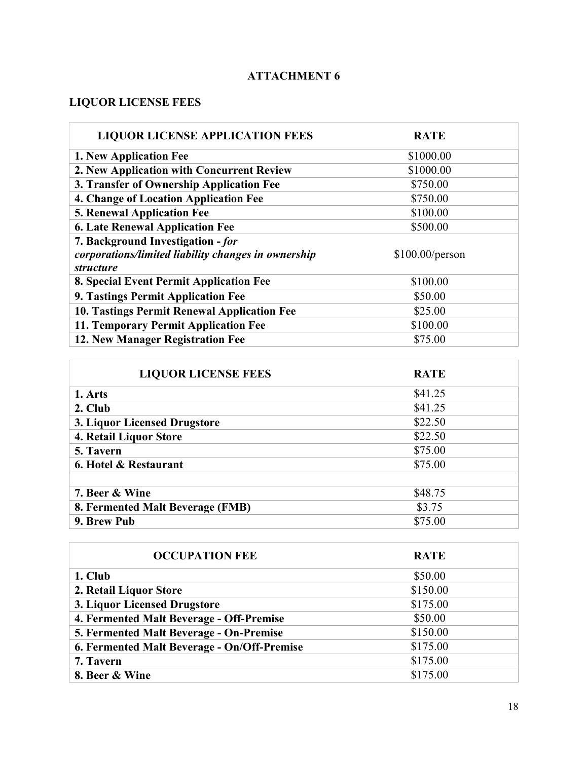# **LIQUOR LICENSE FEES**

ř.

r

| <b>LIQUOR LICENSE APPLICATION FEES</b>              | <b>RATE</b>     |
|-----------------------------------------------------|-----------------|
| 1. New Application Fee                              | \$1000.00       |
| 2. New Application with Concurrent Review           | \$1000.00       |
| 3. Transfer of Ownership Application Fee            | \$750.00        |
| 4. Change of Location Application Fee               | \$750.00        |
| <b>5. Renewal Application Fee</b>                   | \$100.00        |
| <b>6. Late Renewal Application Fee</b>              | \$500.00        |
| 7. Background Investigation - for                   |                 |
| corporations/limited liability changes in ownership | \$100.00/person |
| <i>structure</i>                                    |                 |
| 8. Special Event Permit Application Fee             | \$100.00        |
| 9. Tastings Permit Application Fee                  | \$50.00         |
| <b>10. Tastings Permit Renewal Application Fee</b>  | \$25.00         |
| 11. Temporary Permit Application Fee                | \$100.00        |
| 12. New Manager Registration Fee                    | \$75.00         |

| <b>LIQUOR LICENSE FEES</b>       | <b>RATE</b> |
|----------------------------------|-------------|
| 1. Arts                          | \$41.25     |
| 2. Club                          | \$41.25     |
| 3. Liquor Licensed Drugstore     | \$22.50     |
| 4. Retail Liquor Store           | \$22.50     |
| 5. Tavern                        | \$75.00     |
| 6. Hotel & Restaurant            | \$75.00     |
|                                  |             |
| 7. Beer & Wine                   | \$48.75     |
| 8. Fermented Malt Beverage (FMB) | \$3.75      |
| 9. Brew Pub                      | \$75.00     |

| <b>OCCUPATION FEE</b>                       | <b>RATE</b> |
|---------------------------------------------|-------------|
| 1. Club                                     | \$50.00     |
| 2. Retail Liquor Store                      | \$150.00    |
| 3. Liquor Licensed Drugstore                | \$175.00    |
| 4. Fermented Malt Beverage - Off-Premise    | \$50.00     |
| 5. Fermented Malt Beverage - On-Premise     | \$150.00    |
| 6. Fermented Malt Beverage - On/Off-Premise | \$175.00    |
| 7. Tavern                                   | \$175.00    |
| 8. Beer & Wine                              | \$175.00    |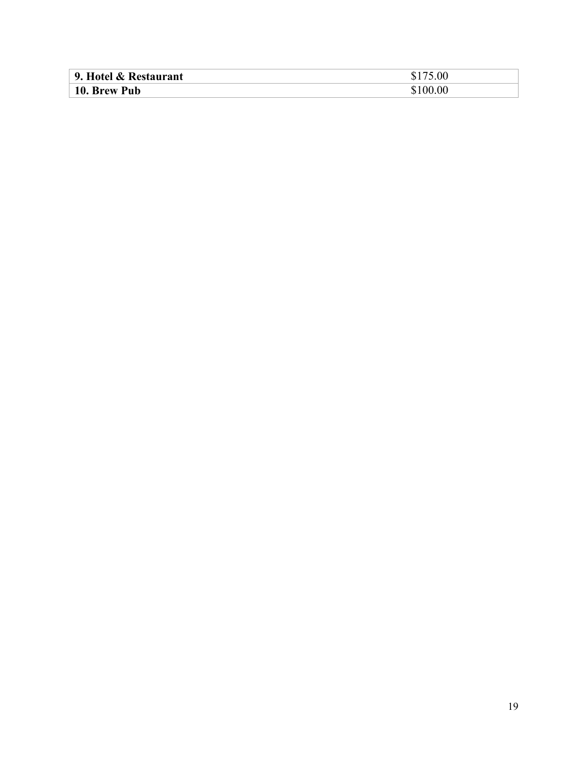| 9. Hotel & Restaurant | 5.00   |
|-----------------------|--------|
| 10. Brew Pub          | 100.00 |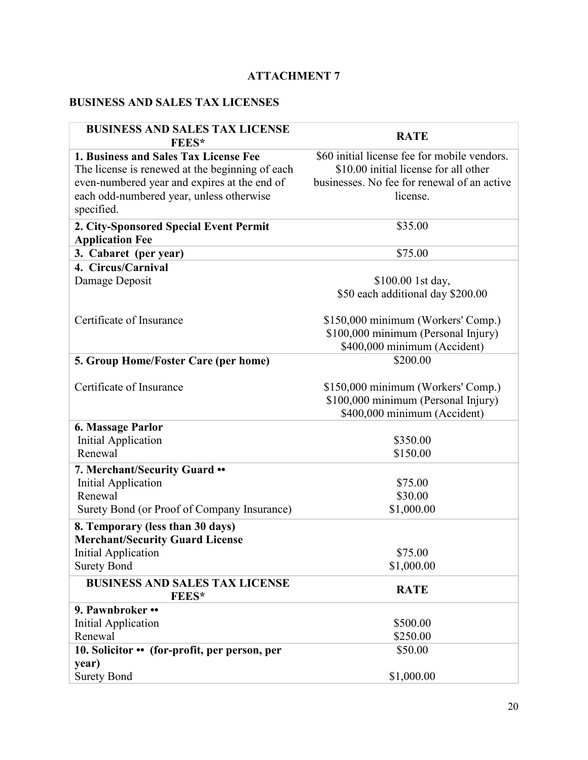# **BUSINESS AND SALES TAX LICENSES**

| <b>BUSINESS AND SALES TAX LICENSE</b><br><b>FEES*</b> | <b>RATE</b>                                  |
|-------------------------------------------------------|----------------------------------------------|
| 1. Business and Sales Tax License Fee                 | \$60 initial license fee for mobile vendors. |
| The license is renewed at the beginning of each       | \$10.00 initial license for all other        |
| even-numbered year and expires at the end of          | businesses. No fee for renewal of an active  |
| each odd-numbered year, unless otherwise              | license.                                     |
| specified.                                            |                                              |
| 2. City-Sponsored Special Event Permit                | \$35.00                                      |
| <b>Application Fee</b>                                |                                              |
| 3. Cabaret (per year)                                 | \$75.00                                      |
| 4. Circus/Carnival                                    |                                              |
| Damage Deposit                                        | \$100.00 1st day,                            |
|                                                       | \$50 each additional day \$200.00            |
| Certificate of Insurance                              | \$150,000 minimum (Workers' Comp.)           |
|                                                       | \$100,000 minimum (Personal Injury)          |
|                                                       | \$400,000 minimum (Accident)                 |
| 5. Group Home/Foster Care (per home)                  | \$200.00                                     |
|                                                       |                                              |
| Certificate of Insurance                              | \$150,000 minimum (Workers' Comp.)           |
|                                                       | \$100,000 minimum (Personal Injury)          |
|                                                       | \$400,000 minimum (Accident)                 |
| <b>6. Massage Parlor</b>                              |                                              |
| <b>Initial Application</b>                            | \$350.00                                     |
| Renewal                                               | \$150.00                                     |
| 7. Merchant/Security Guard ••                         |                                              |
| <b>Initial Application</b>                            | \$75.00                                      |
| Renewal                                               | \$30.00                                      |
| Surety Bond (or Proof of Company Insurance)           | \$1,000.00                                   |
| 8. Temporary (less than 30 days)                      |                                              |
| <b>Merchant/Security Guard License</b>                |                                              |
| Initial Application                                   | \$75.00                                      |
| <b>Surety Bond</b>                                    | \$1,000.00                                   |
| <b>BUSINESS AND SALES TAX LICENSE</b><br>FEES*        | <b>RATE</b>                                  |
| 9. Pawnbroker ••                                      |                                              |
| <b>Initial Application</b>                            | \$500.00                                     |
| Renewal                                               | \$250.00                                     |
| 10. Solicitor • (for-profit, per person, per          | \$50.00                                      |
| year)                                                 |                                              |
| <b>Surety Bond</b>                                    | \$1,000.00                                   |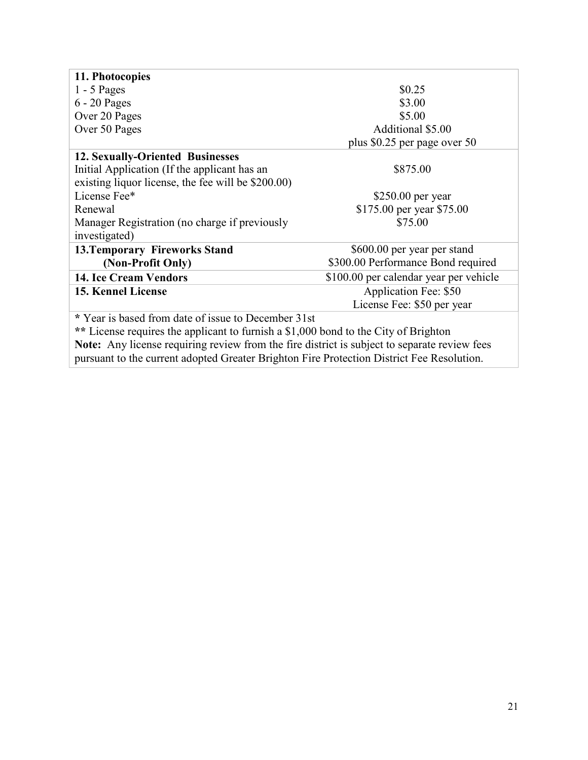| 11. Photocopies                                                                     |                                        |  |  |
|-------------------------------------------------------------------------------------|----------------------------------------|--|--|
| $1 - 5$ Pages                                                                       | \$0.25                                 |  |  |
| $6 - 20$ Pages                                                                      | \$3.00                                 |  |  |
| Over 20 Pages                                                                       | \$5.00                                 |  |  |
| Over 50 Pages                                                                       | Additional \$5.00                      |  |  |
|                                                                                     | plus \$0.25 per page over 50           |  |  |
| <b>12. Sexually-Oriented Businesses</b>                                             |                                        |  |  |
| Initial Application (If the applicant has an                                        | \$875.00                               |  |  |
| existing liquor license, the fee will be \$200.00)                                  |                                        |  |  |
| License Fee*                                                                        | \$250.00 per year                      |  |  |
| Renewal                                                                             | \$175.00 per year \$75.00              |  |  |
| Manager Registration (no charge if previously                                       | \$75.00                                |  |  |
| investigated)                                                                       |                                        |  |  |
| <b>13. Temporary Fireworks Stand</b>                                                | \$600.00 per year per stand            |  |  |
| (Non-Profit Only)                                                                   | \$300.00 Performance Bond required     |  |  |
| <b>14. Ice Cream Vendors</b>                                                        | \$100.00 per calendar year per vehicle |  |  |
| 15. Kennel License                                                                  | Application Fee: \$50                  |  |  |
|                                                                                     | License Fee: \$50 per year             |  |  |
| * Year is based from date of issue to December 31st                                 |                                        |  |  |
| ** License requires the applicant to furnish a \$1,000 bond to the City of Brighton |                                        |  |  |

**Note:** Any license requiring review from the fire district is subject to separate review fees pursuant to the current adopted Greater Brighton Fire Protection District Fee Resolution.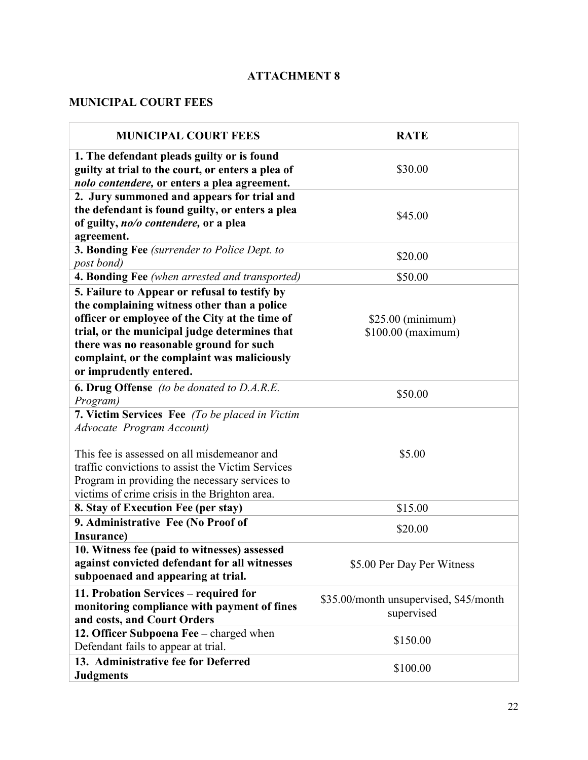# **MUNICIPAL COURT FEES**

| <b>MUNICIPAL COURT FEES</b>                                                                                                                                                                                                                                                                                          | <b>RATE</b>                                          |
|----------------------------------------------------------------------------------------------------------------------------------------------------------------------------------------------------------------------------------------------------------------------------------------------------------------------|------------------------------------------------------|
| 1. The defendant pleads guilty or is found<br>guilty at trial to the court, or enters a plea of<br>nolo contendere, or enters a plea agreement.                                                                                                                                                                      | \$30.00                                              |
| 2. Jury summoned and appears for trial and<br>the defendant is found guilty, or enters a plea<br>of guilty, no/o contendere, or a plea<br>agreement.                                                                                                                                                                 | \$45.00                                              |
| 3. Bonding Fee (surrender to Police Dept. to<br>post bond)                                                                                                                                                                                                                                                           | \$20.00                                              |
| 4. Bonding Fee (when arrested and transported)                                                                                                                                                                                                                                                                       | \$50.00                                              |
| 5. Failure to Appear or refusal to testify by<br>the complaining witness other than a police<br>officer or employee of the City at the time of<br>trial, or the municipal judge determines that<br>there was no reasonable ground for such<br>complaint, or the complaint was maliciously<br>or imprudently entered. | \$25.00 (minimum)<br>$$100.00$ (maximum)             |
| <b>6. Drug Offense</b> (to be donated to D.A.R.E.<br>Program)                                                                                                                                                                                                                                                        | \$50.00                                              |
| 7. Victim Services Fee (To be placed in Victim<br><b>Advocate Program Account)</b><br>This fee is assessed on all misdemeanor and<br>traffic convictions to assist the Victim Services<br>Program in providing the necessary services to<br>victims of crime crisis in the Brighton area.                            | \$5.00                                               |
| 8. Stay of Execution Fee (per stay)                                                                                                                                                                                                                                                                                  | \$15.00                                              |
| 9. Administrative Fee (No Proof of<br>Insurance)                                                                                                                                                                                                                                                                     | \$20.00                                              |
| 10. Witness fee (paid to witnesses) assessed<br>against convicted defendant for all witnesses<br>subpoenaed and appearing at trial.                                                                                                                                                                                  | \$5.00 Per Day Per Witness                           |
| 11. Probation Services – required for<br>monitoring compliance with payment of fines<br>and costs, and Court Orders                                                                                                                                                                                                  | \$35.00/month unsupervised, \$45/month<br>supervised |
| 12. Officer Subpoena Fee - charged when<br>Defendant fails to appear at trial.                                                                                                                                                                                                                                       | \$150.00                                             |
| 13. Administrative fee for Deferred<br><b>Judgments</b>                                                                                                                                                                                                                                                              | \$100.00                                             |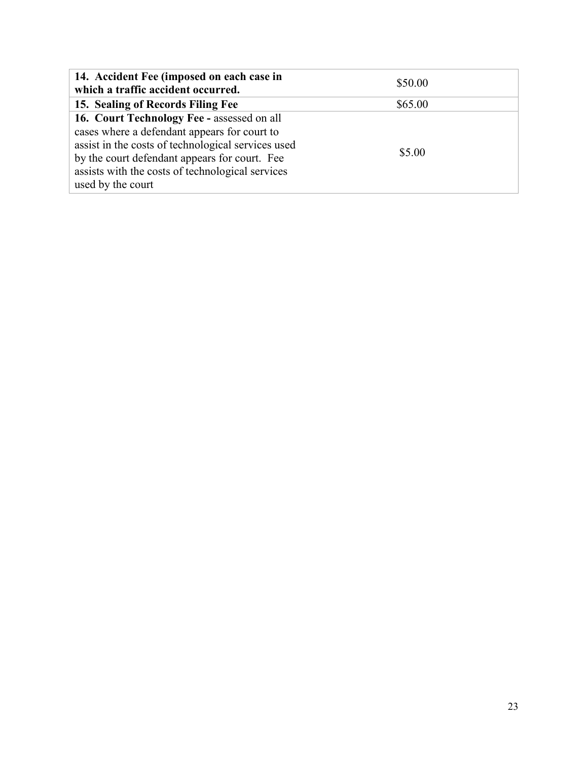| 14. Accident Fee (imposed on each case in<br>which a traffic accident occurred.                                                                                                                                                                                            | \$50.00 |
|----------------------------------------------------------------------------------------------------------------------------------------------------------------------------------------------------------------------------------------------------------------------------|---------|
| 15. Sealing of Records Filing Fee                                                                                                                                                                                                                                          | \$65.00 |
| 16. Court Technology Fee - assessed on all<br>cases where a defendant appears for court to<br>assist in the costs of technological services used<br>by the court defendant appears for court. Fee<br>assists with the costs of technological services<br>used by the court | \$5.00  |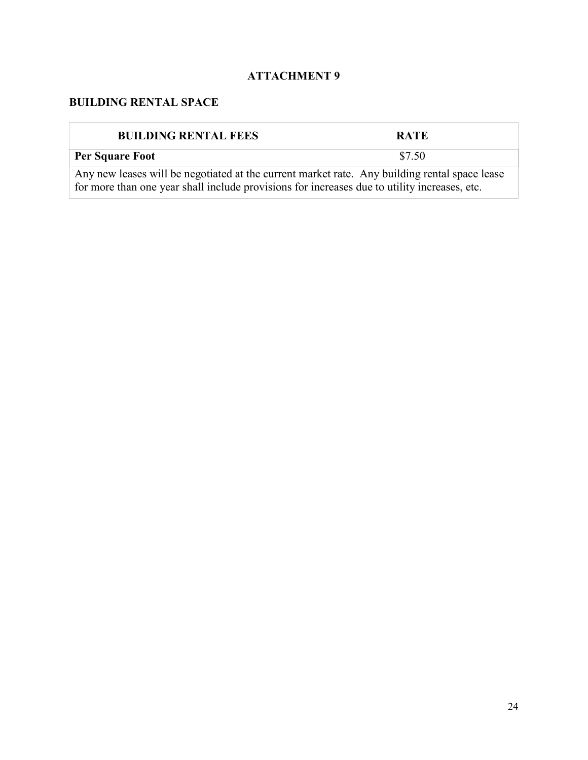# **BUILDING RENTAL SPACE**

| <b>BUILDING RENTAL FEES</b>                                                                                                                                                                   | <b>RATE</b> |
|-----------------------------------------------------------------------------------------------------------------------------------------------------------------------------------------------|-------------|
| <b>Per Square Foot</b>                                                                                                                                                                        | \$7.50      |
| Any new leases will be negotiated at the current market rate. Any building rental space lease<br>for more than one year shall include provisions for increases due to utility increases, etc. |             |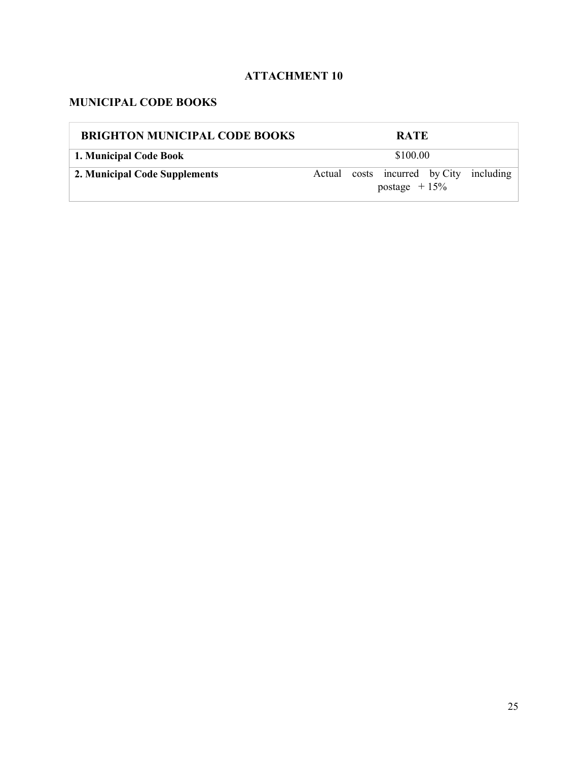# **MUNICIPAL CODE BOOKS**

| <b>BRIGHTON MUNICIPAL CODE BOOKS</b> | <b>RATE</b>                                               |  |  |
|--------------------------------------|-----------------------------------------------------------|--|--|
| 1. Municipal Code Book               | \$100.00                                                  |  |  |
| 2. Municipal Code Supplements        | Actual costs incurred by City including<br>postage $+15%$ |  |  |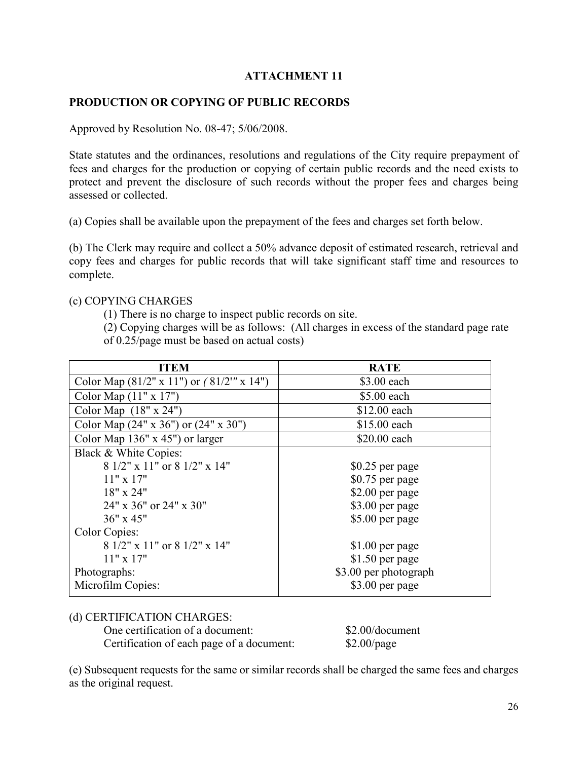### **PRODUCTION OR COPYING OF PUBLIC RECORDS**

Approved by Resolution No. 08-47; 5/06/2008.

State statutes and the ordinances, resolutions and regulations of the City require prepayment of fees and charges for the production or copying of certain public records and the need exists to protect and prevent the disclosure of such records without the proper fees and charges being assessed or collected.

(a) Copies shall be available upon the prepayment of the fees and charges set forth below.

(b) The Clerk may require and collect a 50% advance deposit of estimated research, retrieval and copy fees and charges for public records that will take significant staff time and resources to complete.

#### (c) COPYING CHARGES

(1) There is no charge to inspect public records on site.

(2) Copying charges will be as follows: (All charges in excess of the standard page rate of 0.25/page must be based on actual costs)

| ITEM                                                   | <b>RATE</b>           |  |  |
|--------------------------------------------------------|-----------------------|--|--|
| Color Map $(81/2" \times 11")$ or $(81/2" \times 14")$ | \$3.00 each           |  |  |
| Color Map $(11" x 17")$                                | \$5.00 each           |  |  |
| Color Map $(18" \times 24")$                           | \$12.00 each          |  |  |
| Color Map $(24" \times 36")$ or $(24" \times 30")$     | \$15.00 each          |  |  |
| Color Map $136"$ x 45") or larger                      | \$20.00 each          |  |  |
| Black & White Copies:                                  |                       |  |  |
| $81/2$ " x 11" or $81/2$ " x 14"                       | $$0.25$ per page      |  |  |
| $11" \times 17"$                                       | \$0.75 per page       |  |  |
| $18" \times 24"$                                       | \$2.00 per page       |  |  |
| $24" \times 36"$ or $24" \times 30"$                   | \$3.00 per page       |  |  |
| 36" x 45"                                              | \$5.00 per page       |  |  |
| <b>Color Copies:</b>                                   |                       |  |  |
| $81/2$ " x 11" or $81/2$ " x 14"                       | $$1.00$ per page      |  |  |
| $11" \times 17"$                                       | $$1.50$ per page      |  |  |
| Photographs:                                           | \$3.00 per photograph |  |  |
| Microfilm Copies:                                      | \$3.00 per page       |  |  |

#### (d) CERTIFICATION CHARGES:

One certification of a document: \$2.00/document Certification of each page of a document: \$2.00/page

(e) Subsequent requests for the same or similar records shall be charged the same fees and charges as the original request.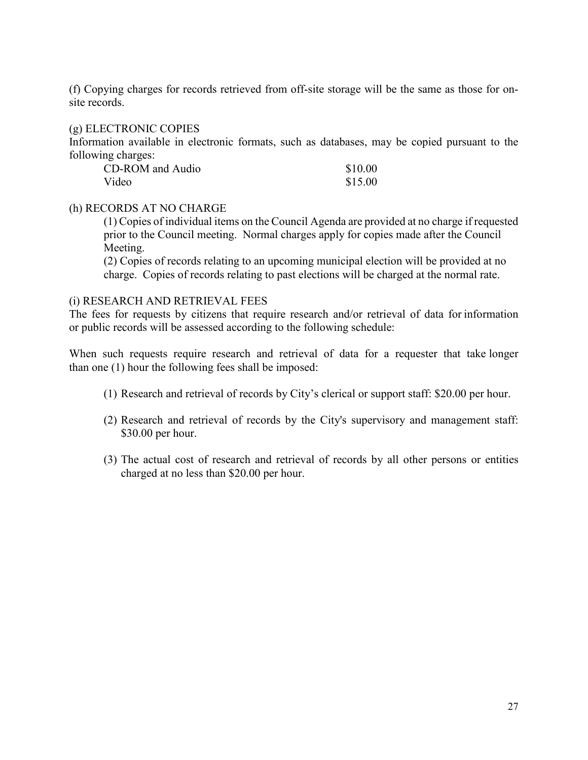(f) Copying charges for records retrieved from off-site storage will be the same as those for onsite records.

#### (g) ELECTRONIC COPIES

Information available in electronic formats, such as databases, may be copied pursuant to the following charges:

| CD-ROM and Audio | \$10.00 |
|------------------|---------|
| Video            | \$15.00 |

#### (h) RECORDS AT NO CHARGE

(1) Copies of individual items on the Council Agenda are provided at no charge if requested prior to the Council meeting. Normal charges apply for copies made after the Council Meeting.

(2) Copies of records relating to an upcoming municipal election will be provided at no charge. Copies of records relating to past elections will be charged at the normal rate.

#### (i) RESEARCH AND RETRIEVAL FEES

The fees for requests by citizens that require research and/or retrieval of data for information or public records will be assessed according to the following schedule:

When such requests require research and retrieval of data for a requester that take longer than one (1) hour the following fees shall be imposed:

- (1) Research and retrieval of records by City's clerical or support staff: \$20.00 per hour.
- (2) Research and retrieval of records by the City's supervisory and management staff: \$30.00 per hour.
- (3) The actual cost of research and retrieval of records by all other persons or entities charged at no less than \$20.00 per hour.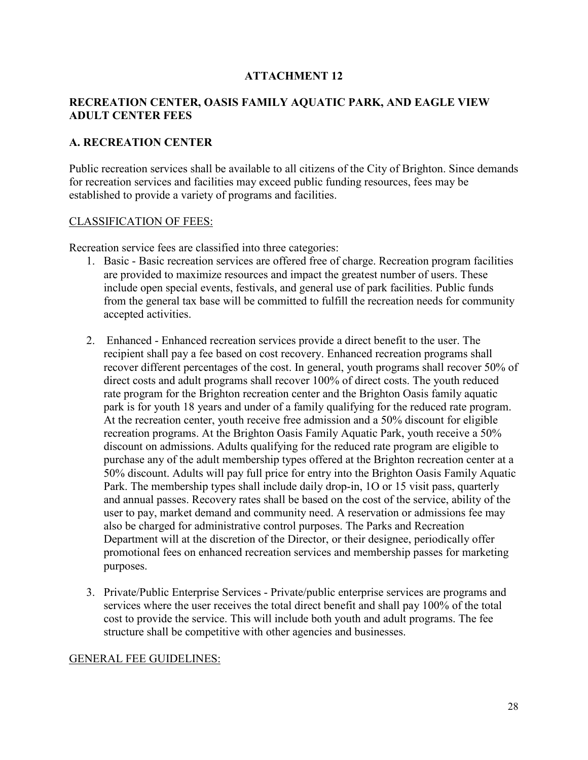#### **RECREATION CENTER, OASIS FAMILY AQUATIC PARK, AND EAGLE VIEW ADULT CENTER FEES**

#### **A. RECREATION CENTER**

Public recreation services shall be available to all citizens of the City of Brighton. Since demands for recreation services and facilities may exceed public funding resources, fees may be established to provide a variety of programs and facilities.

#### CLASSIFICATION OF FEES:

Recreation service fees are classified into three categories:

- 1. Basic Basic recreation services are offered free of charge. Recreation program facilities are provided to maximize resources and impact the greatest number of users. These include open special events, festivals, and general use of park facilities. Public funds from the general tax base will be committed to fulfill the recreation needs for community accepted activities.
- 2. Enhanced Enhanced recreation services provide a direct benefit to the user. The recipient shall pay a fee based on cost recovery. Enhanced recreation programs shall recover different percentages of the cost. In general, youth programs shall recover 50% of direct costs and adult programs shall recover 100% of direct costs. The youth reduced rate program for the Brighton recreation center and the Brighton Oasis family aquatic park is for youth 18 years and under of a family qualifying for the reduced rate program. At the recreation center, youth receive free admission and a 50% discount for eligible recreation programs. At the Brighton Oasis Family Aquatic Park, youth receive a 50% discount on admissions. Adults qualifying for the reduced rate program are eligible to purchase any of the adult membership types offered at the Brighton recreation center at a 50% discount. Adults will pay full price for entry into the Brighton Oasis Family Aquatic Park. The membership types shall include daily drop-in, 1O or 15 visit pass, quarterly and annual passes. Recovery rates shall be based on the cost of the service, ability of the user to pay, market demand and community need. A reservation or admissions fee may also be charged for administrative control purposes. The Parks and Recreation Department will at the discretion of the Director, or their designee, periodically offer promotional fees on enhanced recreation services and membership passes for marketing purposes.
- 3. Private/Public Enterprise Services Private/public enterprise services are programs and services where the user receives the total direct benefit and shall pay 100% of the total cost to provide the service. This will include both youth and adult programs. The fee structure shall be competitive with other agencies and businesses.

#### GENERAL FEE GUIDELINES: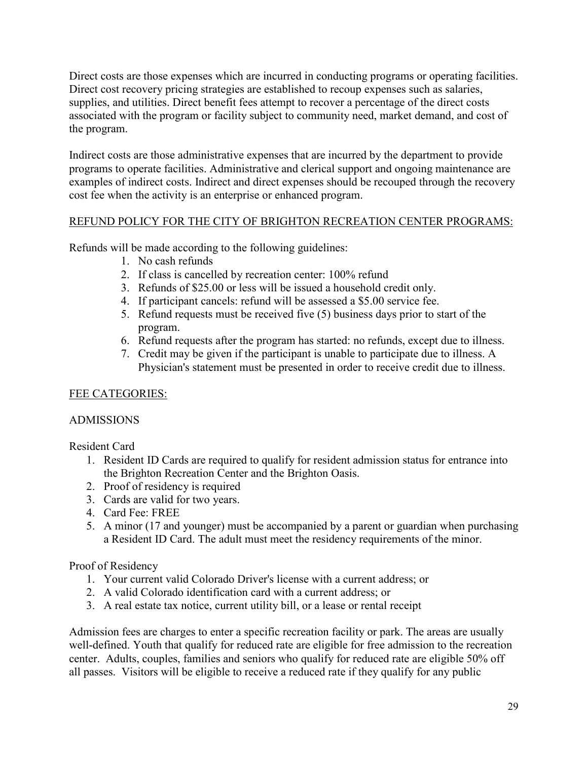Direct costs are those expenses which are incurred in conducting programs or operating facilities. Direct cost recovery pricing strategies are established to recoup expenses such as salaries, supplies, and utilities. Direct benefit fees attempt to recover a percentage of the direct costs associated with the program or facility subject to community need, market demand, and cost of the program.

Indirect costs are those administrative expenses that are incurred by the department to provide programs to operate facilities. Administrative and clerical support and ongoing maintenance are examples of indirect costs. Indirect and direct expenses should be recouped through the recovery cost fee when the activity is an enterprise or enhanced program.

# REFUND POLICY FOR THE CITY OF BRIGHTON RECREATION CENTER PROGRAMS:

Refunds will be made according to the following guidelines:

- 1. No cash refunds
- 2. If class is cancelled by recreation center: 100% refund
- 3. Refunds of \$25.00 or less will be issued a household credit only.
- 4. If participant cancels: refund will be assessed a \$5.00 service fee.
- 5. Refund requests must be received five (5) business days prior to start of the program.
- 6. Refund requests after the program has started: no refunds, except due to illness.
- 7. Credit may be given if the participant is unable to participate due to illness. A Physician's statement must be presented in order to receive credit due to illness.

# FEE CATEGORIES:

# ADMISSIONS

Resident Card

- 1. Resident ID Cards are required to qualify for resident admission status for entrance into the Brighton Recreation Center and the Brighton Oasis.
- 2. Proof of residency is required
- 3. Cards are valid for two years.
- 4. Card Fee: FREE
- 5. A minor (17 and younger) must be accompanied by a parent or guardian when purchasing a Resident ID Card. The adult must meet the residency requirements of the minor.

# Proof of Residency

- 1. Your current valid Colorado Driver's license with a current address; or
- 2. A valid Colorado identification card with a current address; or
- 3. A real estate tax notice, current utility bill, or a lease or rental receipt

Admission fees are charges to enter a specific recreation facility or park. The areas are usually well-defined. Youth that qualify for reduced rate are eligible for free admission to the recreation center. Adults, couples, families and seniors who qualify for reduced rate are eligible 50% off all passes. Visitors will be eligible to receive a reduced rate if they qualify for any public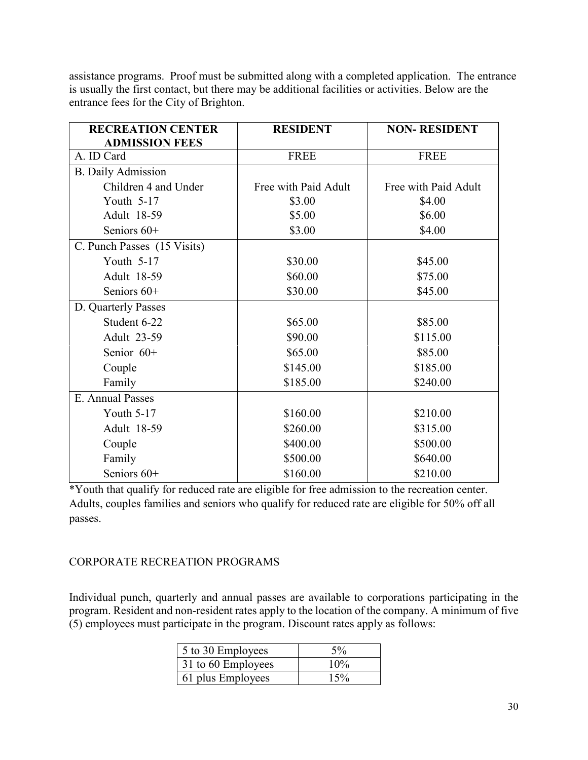assistance programs. Proof must be submitted along with a completed application. The entrance is usually the first contact, but there may be additional facilities or activities. Below are the entrance fees for the City of Brighton.

| <b>RECREATION CENTER</b>    | <b>RESIDENT</b>      | <b>NON-RESIDENT</b>  |
|-----------------------------|----------------------|----------------------|
| <b>ADMISSION FEES</b>       |                      |                      |
| A. ID Card                  | <b>FREE</b>          | <b>FREE</b>          |
| <b>B.</b> Daily Admission   |                      |                      |
| Children 4 and Under        | Free with Paid Adult | Free with Paid Adult |
| Youth 5-17                  | \$3.00               | \$4.00               |
| Adult 18-59                 | \$5.00               | \$6.00               |
| Seniors $60+$               | \$3.00               | \$4.00               |
| C. Punch Passes (15 Visits) |                      |                      |
| Youth 5-17                  | \$30.00              | \$45.00              |
| Adult 18-59                 | \$60.00              | \$75.00              |
| Seniors 60+                 | \$30.00              | \$45.00              |
| D. Quarterly Passes         |                      |                      |
| Student 6-22                | \$65.00              | \$85.00              |
| Adult 23-59                 | \$90.00              | \$115.00             |
| Senior 60+                  | \$65.00              | \$85.00              |
| Couple                      | \$145.00             | \$185.00             |
| Family                      | \$185.00             | \$240.00             |
| E. Annual Passes            |                      |                      |
| Youth 5-17                  | \$160.00             | \$210.00             |
| Adult 18-59                 | \$260.00             | \$315.00             |
| Couple                      | \$400.00             | \$500.00             |
| Family                      | \$500.00             | \$640.00             |
| Seniors 60+                 | \$160.00             | \$210.00             |

\*Youth that qualify for reduced rate are eligible for free admission to the recreation center. Adults, couples families and seniors who qualify for reduced rate are eligible for 50% off all passes.

### CORPORATE RECREATION PROGRAMS

Individual punch, quarterly and annual passes are available to corporations participating in the program. Resident and non-resident rates apply to the location of the company. A minimum of five (5) employees must participate in the program. Discount rates apply as follows:

| 5 to 30 Employees  | $5\%$  |
|--------------------|--------|
| 31 to 60 Employees | $10\%$ |
| 61 plus Employees  | 15%    |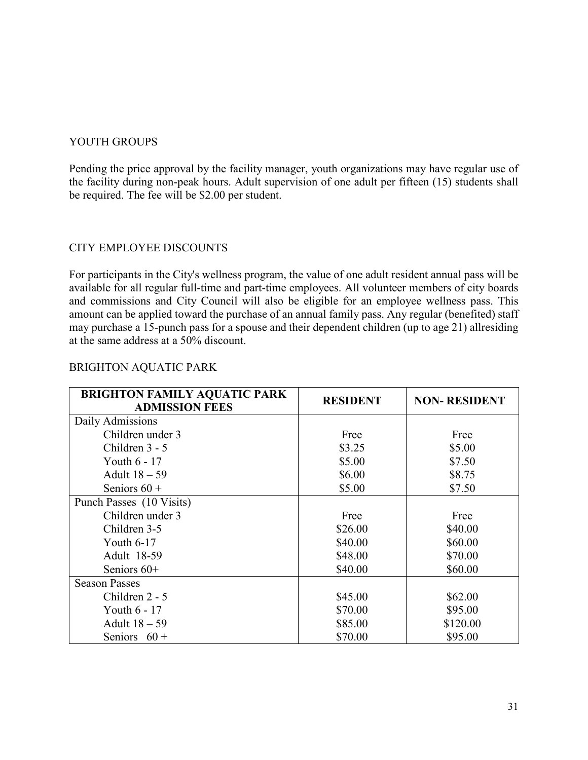#### YOUTH GROUPS

Pending the price approval by the facility manager, youth organizations may have regular use of the facility during non-peak hours. Adult supervision of one adult per fifteen (15) students shall be required. The fee will be \$2.00 per student.

#### CITY EMPLOYEE DISCOUNTS

For participants in the City's wellness program, the value of one adult resident annual pass will be available for all regular full-time and part-time employees. All volunteer members of city boards and commissions and City Council will also be eligible for an employee wellness pass. This amount can be applied toward the purchase of an annual family pass. Any regular (benefited) staff may purchase a 15-punch pass for a spouse and their dependent children (up to age 21) allresiding at the same address at a 50% discount.

| <b>BRIGHTON FAMILY AQUATIC PARK</b><br><b>ADMISSION FEES</b> | <b>RESIDENT</b> | <b>NON-RESIDENT</b> |
|--------------------------------------------------------------|-----------------|---------------------|
| Daily Admissions                                             |                 |                     |
| Children under 3                                             | Free            | Free                |
| Children 3 - 5                                               | \$3.25          | \$5.00              |
| Youth $6 - 17$                                               | \$5.00          | \$7.50              |
| Adult $18-59$                                                | \$6.00          | \$8.75              |
| Seniors $60 +$                                               | \$5.00          | \$7.50              |
| Punch Passes (10 Visits)                                     |                 |                     |
| Children under 3                                             | Free            | Free                |
| Children 3-5                                                 | \$26.00         | \$40.00             |
| Youth $6-17$                                                 | \$40.00         | \$60.00             |
| Adult 18-59                                                  | \$48.00         | \$70.00             |
| Seniors $60+$                                                | \$40.00         | \$60.00             |
| <b>Season Passes</b>                                         |                 |                     |
| Children 2 - 5                                               | \$45.00         | \$62.00             |
| Youth $6 - 17$                                               | \$70.00         | \$95.00             |
| Adult $18-59$                                                | \$85.00         | \$120.00            |
| Seniors $60 +$                                               | \$70.00         | \$95.00             |

#### BRIGHTON AQUATIC PARK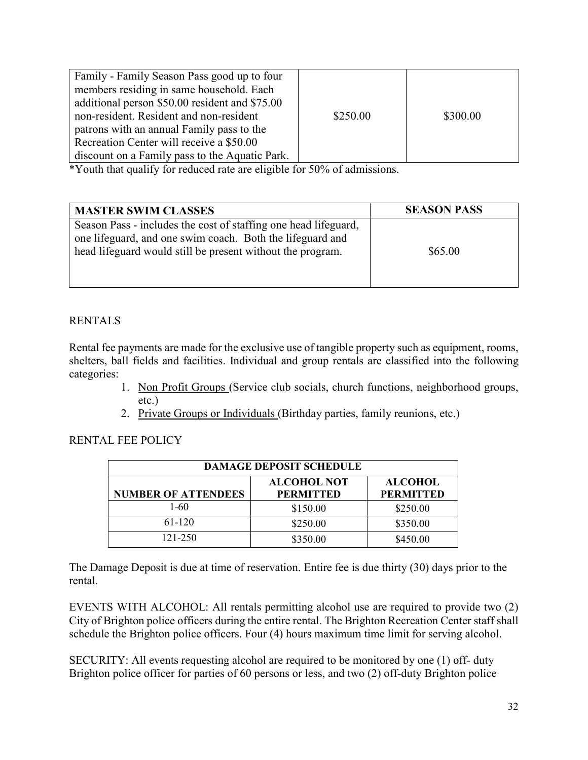| Family - Family Season Pass good up to four<br>members residing in same household. Each<br>additional person \$50.00 resident and \$75.00 |          |          |
|-------------------------------------------------------------------------------------------------------------------------------------------|----------|----------|
| non-resident. Resident and non-resident                                                                                                   | \$250.00 | \$300.00 |
| patrons with an annual Family pass to the                                                                                                 |          |          |
| Recreation Center will receive a \$50.00                                                                                                  |          |          |
| discount on a Family pass to the Aquatic Park.                                                                                            |          |          |

\*Youth that qualify for reduced rate are eligible for 50% of admissions.

| <b>MASTER SWIM CLASSES</b>                                                                                                                                                                 | <b>SEASON PASS</b> |
|--------------------------------------------------------------------------------------------------------------------------------------------------------------------------------------------|--------------------|
| Season Pass - includes the cost of staffing one head lifeguard,<br>one lifeguard, and one swim coach. Both the lifeguard and<br>head lifeguard would still be present without the program. | \$65.00            |

# RENTALS

Rental fee payments are made for the exclusive use of tangible property such as equipment, rooms, shelters, ball fields and facilities. Individual and group rentals are classified into the following categories:

- 1. Non Profit Groups (Service club socials, church functions, neighborhood groups, etc.)
- 2. Private Groups or Individuals (Birthday parties, family reunions, etc.)

### RENTAL FEE POLICY

| <b>DAMAGE DEPOSIT SCHEDULE</b>                                                                             |          |          |  |
|------------------------------------------------------------------------------------------------------------|----------|----------|--|
| <b>ALCOHOL NOT</b><br><b>ALCOHOL</b><br><b>NUMBER OF ATTENDEES</b><br><b>PERMITTED</b><br><b>PERMITTED</b> |          |          |  |
| 1-60                                                                                                       | \$150.00 | \$250.00 |  |
| 61-120                                                                                                     | \$250.00 | \$350.00 |  |
| 121-250                                                                                                    | \$350.00 | \$450.00 |  |

The Damage Deposit is due at time of reservation. Entire fee is due thirty (30) days prior to the rental.

EVENTS WITH ALCOHOL: All rentals permitting alcohol use are required to provide two (2) City of Brighton police officers during the entire rental. The Brighton Recreation Center staff shall schedule the Brighton police officers. Four (4) hours maximum time limit for serving alcohol.

SECURITY: All events requesting alcohol are required to be monitored by one (1) off- duty Brighton police officer for parties of 60 persons or less, and two (2) off-duty Brighton police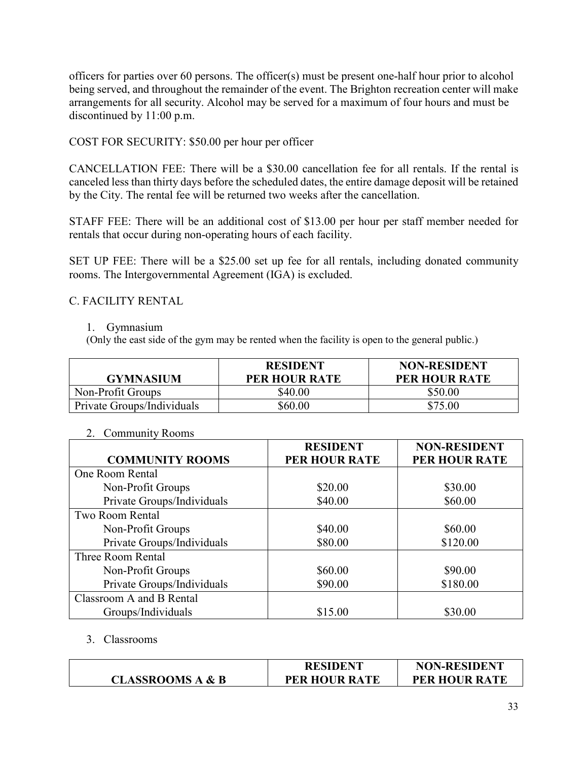officers for parties over 60 persons. The officer(s) must be present one-half hour prior to alcohol being served, and throughout the remainder of the event. The Brighton recreation center will make arrangements for all security. Alcohol may be served for a maximum of four hours and must be discontinued by 11:00 p.m.

### COST FOR SECURITY: \$50.00 per hour per officer

CANCELLATION FEE: There will be a \$30.00 cancellation fee for all rentals. If the rental is canceled less than thirty days before the scheduled dates, the entire damage deposit will be retained by the City. The rental fee will be returned two weeks after the cancellation.

STAFF FEE: There will be an additional cost of \$13.00 per hour per staff member needed for rentals that occur during non-operating hours of each facility.

SET UP FEE: There will be a \$25.00 set up fee for all rentals, including donated community rooms. The Intergovernmental Agreement (IGA) is excluded.

### C. FACILITY RENTAL

#### 1. Gymnasium

(Only the east side of the gym may be rented when the facility is open to the general public.)

| <b>GYMNASIUM</b>           | <b>RESIDENT</b><br>PER HOUR RATE | <b>NON-RESIDENT</b><br><b>PER HOUR RATE</b> |
|----------------------------|----------------------------------|---------------------------------------------|
| Non-Profit Groups          | \$40.00                          | \$50.00                                     |
| Private Groups/Individuals | \$60.00                          | \$75.00                                     |

#### 2. Community Rooms

|                            | <b>RESIDENT</b> | <b>NON-RESIDENT</b>  |
|----------------------------|-----------------|----------------------|
| <b>COMMUNITY ROOMS</b>     | PER HOUR RATE   | <b>PER HOUR RATE</b> |
| One Room Rental            |                 |                      |
| Non-Profit Groups          | \$20.00         | \$30.00              |
| Private Groups/Individuals | \$40.00         | \$60.00              |
| Two Room Rental            |                 |                      |
| Non-Profit Groups          | \$40.00         | \$60.00              |
| Private Groups/Individuals | \$80.00         | \$120.00             |
| Three Room Rental          |                 |                      |
| Non-Profit Groups          | \$60.00         | \$90.00              |
| Private Groups/Individuals | \$90.00         | \$180.00             |
| Classroom A and B Rental   |                 |                      |
| Groups/Individuals         | \$15.00         | \$30.00              |

#### 3. Classrooms

|                             | <b>RESIDENT</b>      | <b>NON-RESIDENT</b>  |
|-----------------------------|----------------------|----------------------|
| <b>CLASSROOMS A &amp; B</b> | <b>PER HOUR RATE</b> | <b>PER HOUR RATE</b> |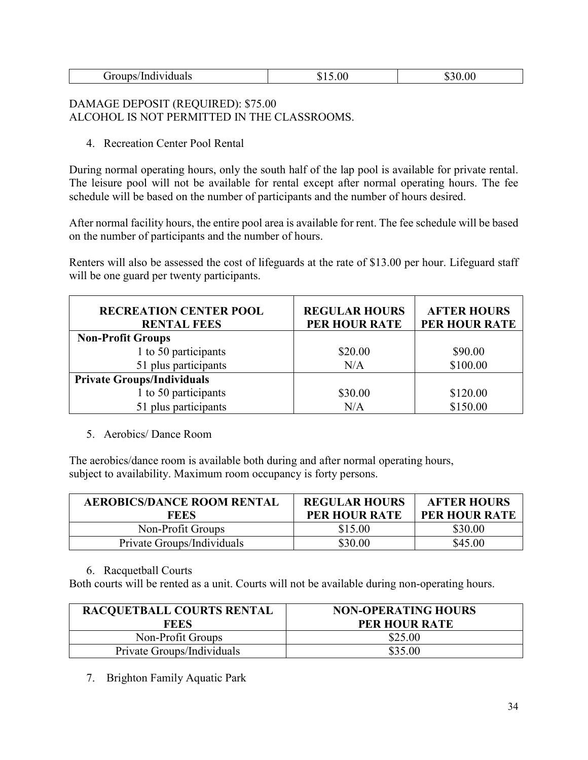| Groups/Individuals | 5.00 | 0.00<br>830<br>۱D. |
|--------------------|------|--------------------|

### DAMAGE DEPOSIT (REQUIRED): \$75.00 ALCOHOL IS NOT PERMITTED IN THE CLASSROOMS.

4. Recreation Center Pool Rental

During normal operating hours, only the south half of the lap pool is available for private rental. The leisure pool will not be available for rental except after normal operating hours. The fee schedule will be based on the number of participants and the number of hours desired.

After normal facility hours, the entire pool area is available for rent. The fee schedule will be based on the number of participants and the number of hours.

Renters will also be assessed the cost of lifeguards at the rate of \$13.00 per hour. Lifeguard staff will be one guard per twenty participants.

| <b>RECREATION CENTER POOL</b><br><b>RENTAL FEES</b> | <b>REGULAR HOURS</b><br>PER HOUR RATE | <b>AFTER HOURS</b><br>PER HOUR RATE |
|-----------------------------------------------------|---------------------------------------|-------------------------------------|
| <b>Non-Profit Groups</b>                            |                                       |                                     |
| 1 to 50 participants                                | \$20.00                               | \$90.00                             |
| 51 plus participants                                | N/A                                   | \$100.00                            |
| <b>Private Groups/Individuals</b>                   |                                       |                                     |
| 1 to 50 participants                                | \$30.00                               | \$120.00                            |
| 51 plus participants                                | N/A                                   | \$150.00                            |

#### 5. Aerobics/ Dance Room

The aerobics/dance room is available both during and after normal operating hours, subject to availability. Maximum room occupancy is forty persons.

| AEROBICS/DANCE ROOM RENTAL<br>FEES | <b>REGULAR HOURS</b><br><b>PER HOUR RATE</b> | <b>AFTER HOURS</b><br><b>PER HOUR RATE</b> |
|------------------------------------|----------------------------------------------|--------------------------------------------|
| Non-Profit Groups                  | \$15.00                                      | \$30.00                                    |
| Private Groups/Individuals         | \$30.00                                      | \$45.00                                    |

#### 6. Racquetball Courts

Both courts will be rented as a unit. Courts will not be available during non-operating hours.

| <b>RACQUETBALL COURTS RENTAL</b> | <b>NON-OPERATING HOURS</b> |  |
|----------------------------------|----------------------------|--|
| <b>FEES</b>                      | PER HOUR RATE              |  |
| Non-Profit Groups                | \$25.00                    |  |
| Private Groups/Individuals       | \$35.00                    |  |

7. Brighton Family Aquatic Park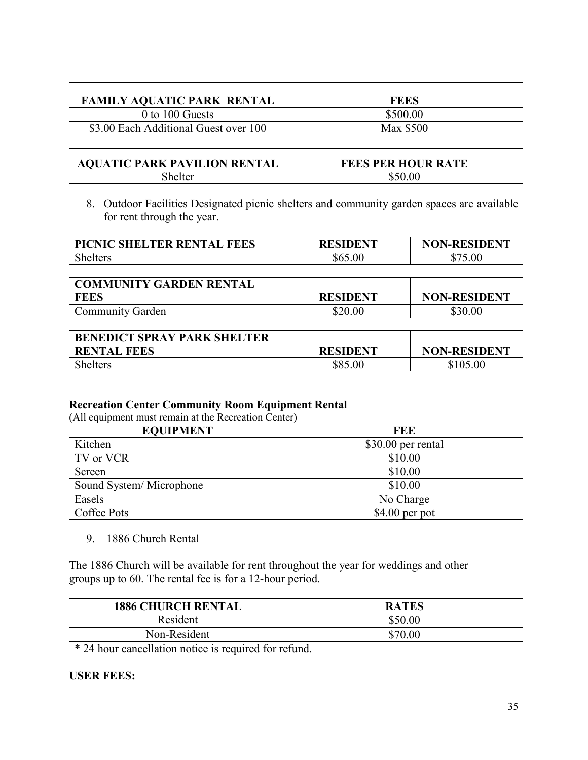| <b>FAMILY AQUATIC PARK RENTAL</b>     | <b>FEES</b> |
|---------------------------------------|-------------|
| 0 to 100 Guests                       | \$500.00    |
| \$3.00 Each Additional Guest over 100 | Max \$500   |

| <b>AQUATIC PARK PAVILION RENTAL</b> | <b>FEES PER HOUR RATE</b> |
|-------------------------------------|---------------------------|
| shelter                             | \$50.00                   |

8. Outdoor Facilities Designated picnic shelters and community garden spaces are available for rent through the year.

| <b>PICNIC SHELTER RENTAL FEES</b> | <b>RESIDENT</b> | <b>NON-RESIDENT</b> |
|-----------------------------------|-----------------|---------------------|
| Shelters                          | \$65.00         | \$75.00             |

| <b>COMMUNITY GARDEN RENTAL</b> |                 |                     |
|--------------------------------|-----------------|---------------------|
| FEES                           | <b>RESIDENT</b> | <b>NON-RESIDENT</b> |
| Community Garden               | \$20.00         | \$30.00             |

| <b>BENEDICT SPRAY PARK SHELTER</b> |                 |                     |
|------------------------------------|-----------------|---------------------|
| <b>RENTAL FEES</b>                 | <b>RESIDENT</b> | <b>NON-RESIDENT</b> |
| Shelters                           | \$85.00         | \$105.00            |

# **Recreation Center Community Room Equipment Rental**

(All equipment must remain at the Recreation Center)

| <b>EQUIPMENT</b>        | FEE                |
|-------------------------|--------------------|
| Kitchen                 | \$30.00 per rental |
| TV or VCR               | \$10.00            |
| Screen                  | \$10.00            |
| Sound System/Microphone | \$10.00            |
| Easels                  | No Charge          |
| Coffee Pots             | $$4.00$ per pot    |

9. 1886 Church Rental

The 1886 Church will be available for rent throughout the year for weddings and other groups up to 60. The rental fee is for a 12-hour period.

| <b>1886 CHURCH RENTAL</b> | <b>RATES</b> |
|---------------------------|--------------|
| Resident                  | \$50.00      |
| Non-Resident              | \$70.00      |

\* 24 hour cancellation notice is required for refund.

### **USER FEES:**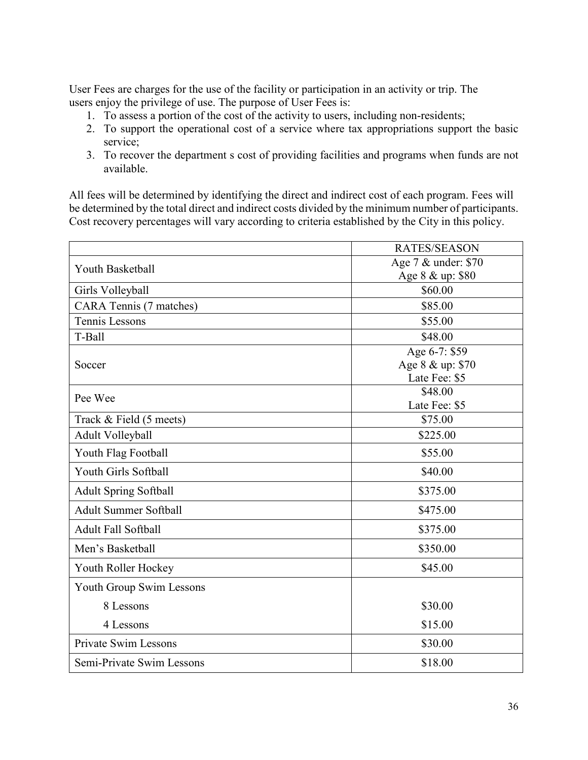User Fees are charges for the use of the facility or participation in an activity or trip. The users enjoy the privilege of use. The purpose of User Fees is:

- 1. To assess a portion of the cost of the activity to users, including non-residents;
- 2. To support the operational cost of a service where tax appropriations support the basic service;
- 3. To recover the department s cost of providing facilities and programs when funds are not available.

All fees will be determined by identifying the direct and indirect cost of each program. Fees will be determined by the total direct and indirect costs divided by the minimum number of participants. Cost recovery percentages will vary according to criteria established by the City in this policy.

|                              | <b>RATES/SEASON</b> |
|------------------------------|---------------------|
| Youth Basketball             | Age 7 & under: \$70 |
|                              | Age 8 & up: \$80    |
| Girls Volleyball             | \$60.00             |
| CARA Tennis (7 matches)      | \$85.00             |
| <b>Tennis Lessons</b>        | \$55.00             |
| T-Ball                       | \$48.00             |
|                              | Age 6-7: \$59       |
| Soccer                       | Age 8 & up: \$70    |
|                              | Late Fee: \$5       |
| Pee Wee                      | \$48.00             |
|                              | Late Fee: \$5       |
| Track & Field (5 meets)      | \$75.00             |
| Adult Volleyball             | \$225.00            |
| Youth Flag Football          | \$55.00             |
| Youth Girls Softball         | \$40.00             |
| <b>Adult Spring Softball</b> | \$375.00            |
| <b>Adult Summer Softball</b> | \$475.00            |
| <b>Adult Fall Softball</b>   | \$375.00            |
| Men's Basketball             | \$350.00            |
| Youth Roller Hockey          | \$45.00             |
| Youth Group Swim Lessons     |                     |
| 8 Lessons                    | \$30.00             |
| 4 Lessons                    | \$15.00             |
| <b>Private Swim Lessons</b>  | \$30.00             |
| Semi-Private Swim Lessons    | \$18.00             |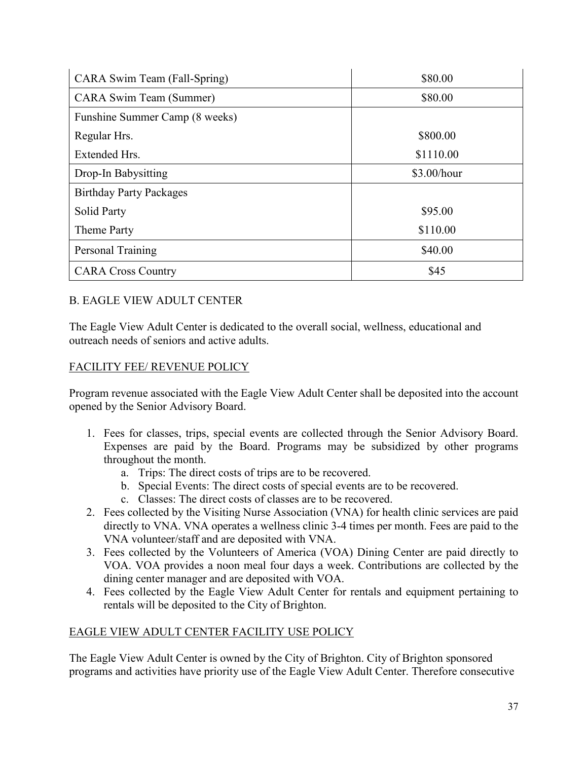| CARA Swim Team (Fall-Spring)   | \$80.00     |
|--------------------------------|-------------|
| <b>CARA Swim Team (Summer)</b> | \$80.00     |
| Funshine Summer Camp (8 weeks) |             |
| Regular Hrs.                   | \$800.00    |
| Extended Hrs.                  | \$1110.00   |
| Drop-In Babysitting            | \$3.00/hour |
| <b>Birthday Party Packages</b> |             |
| <b>Solid Party</b>             | \$95.00     |
| Theme Party                    | \$110.00    |
| Personal Training              | \$40.00     |
| <b>CARA Cross Country</b>      | \$45        |

# B. EAGLE VIEW ADULT CENTER

The Eagle View Adult Center is dedicated to the overall social, wellness, educational and outreach needs of seniors and active adults.

# FACILITY FEE/ REVENUE POLICY

Program revenue associated with the Eagle View Adult Center shall be deposited into the account opened by the Senior Advisory Board.

- 1. Fees for classes, trips, special events are collected through the Senior Advisory Board. Expenses are paid by the Board. Programs may be subsidized by other programs throughout the month.
	- a. Trips: The direct costs of trips are to be recovered.
	- b. Special Events: The direct costs of special events are to be recovered.
	- c. Classes: The direct costs of classes are to be recovered.
- 2. Fees collected by the Visiting Nurse Association (VNA) for health clinic services are paid directly to VNA. VNA operates a wellness clinic 3-4 times per month. Fees are paid to the VNA volunteer/staff and are deposited with VNA.
- 3. Fees collected by the Volunteers of America (VOA) Dining Center are paid directly to VOA. VOA provides a noon meal four days a week. Contributions are collected by the dining center manager and are deposited with VOA.
- 4. Fees collected by the Eagle View Adult Center for rentals and equipment pertaining to rentals will be deposited to the City of Brighton.

### EAGLE VIEW ADULT CENTER FACILITY USE POLICY

The Eagle View Adult Center is owned by the City of Brighton. City of Brighton sponsored programs and activities have priority use of the Eagle View Adult Center. Therefore consecutive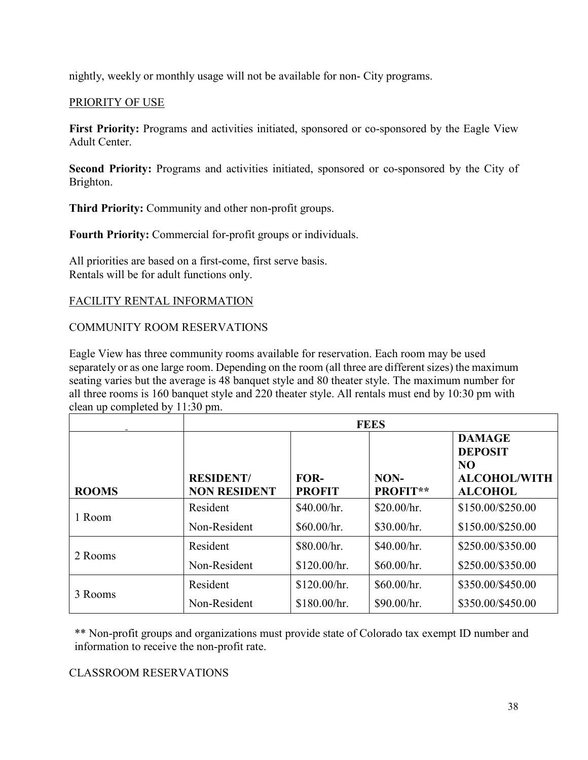nightly, weekly or monthly usage will not be available for non- City programs.

# PRIORITY OF USE

**First Priority:** Programs and activities initiated, sponsored or co-sponsored by the Eagle View Adult Center.

**Second Priority:** Programs and activities initiated, sponsored or co-sponsored by the City of Brighton.

**Third Priority:** Community and other non-profit groups.

**Fourth Priority:** Commercial for-profit groups or individuals.

All priorities are based on a first-come, first serve basis. Rentals will be for adult functions only.

# FACILITY RENTAL INFORMATION

# COMMUNITY ROOM RESERVATIONS

Eagle View has three community rooms available for reservation. Each room may be used separately or as one large room. Depending on the room (all three are different sizes) the maximum seating varies but the average is 48 banquet style and 80 theater style. The maximum number for all three rooms is 160 banquet style and 220 theater style. All rentals must end by 10:30 pm with clean up completed by 11:30 pm.

|              | <b>FEES</b>                             |                       |                         |                                                                                |
|--------------|-----------------------------------------|-----------------------|-------------------------|--------------------------------------------------------------------------------|
| <b>ROOMS</b> | <b>RESIDENT/</b><br><b>NON RESIDENT</b> | FOR-<br><b>PROFIT</b> | NON-<br><b>PROFIT**</b> | <b>DAMAGE</b><br><b>DEPOSIT</b><br>NO<br><b>ALCOHOL/WITH</b><br><b>ALCOHOL</b> |
| 1 Room       | Resident                                | \$40.00/hr.           | \$20.00/hr.             | \$150.00/\$250.00                                                              |
|              | Non-Resident                            | \$60.00/hr.           | \$30.00/hr.             | \$150.00/\$250.00                                                              |
| 2 Rooms      | Resident                                | \$80.00/hr.           | \$40.00/hr.             | \$250.00/\$350.00                                                              |
|              | Non-Resident                            | \$120.00/hr.          | \$60.00/hr.             | \$250.00/\$350.00                                                              |
| 3 Rooms      | Resident                                | \$120.00/hr.          | \$60.00/hr.             | \$350.00/\$450.00                                                              |
|              | Non-Resident                            | \$180.00/hr.          | \$90.00/hr.             | \$350.00/\$450.00                                                              |

\*\* Non-profit groups and organizations must provide state of Colorado tax exempt ID number and information to receive the non-profit rate.

### CLASSROOM RESERVATIONS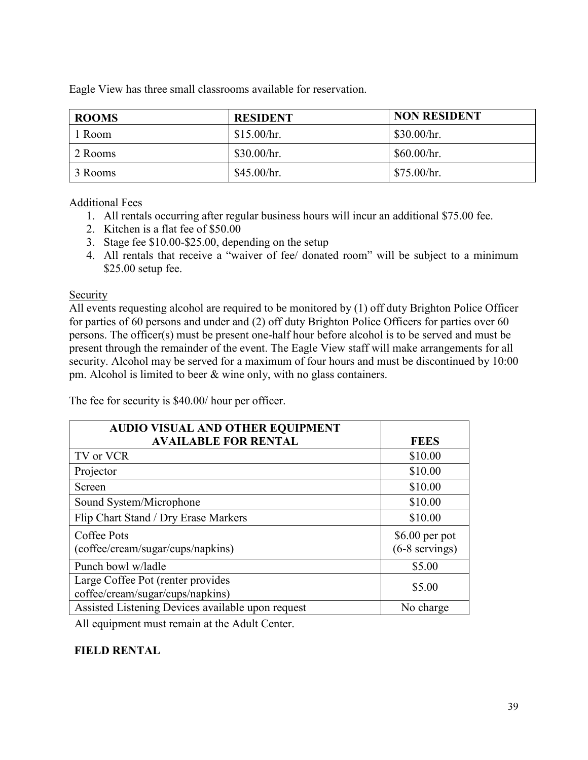Eagle View has three small classrooms available for reservation.

| <b>ROOMS</b> | <b>RESIDENT</b> | <b>NON RESIDENT</b> |
|--------------|-----------------|---------------------|
| 1 Room       | \$15.00/hr.     | \$30.00/hr.         |
| 2 Rooms      | \$30.00/hr.     | \$60.00/hr.         |
| 3 Rooms      | \$45.00/hr.     | \$75.00/hr.         |

### Additional Fees

- 1. All rentals occurring after regular business hours will incur an additional \$75.00 fee.
- 2. Kitchen is a flat fee of \$50.00
- 3. Stage fee \$10.00-\$25.00, depending on the setup
- 4. All rentals that receive a "waiver of fee/ donated room" will be subject to a minimum \$25.00 setup fee.

### Security

All events requesting alcohol are required to be monitored by (1) off duty Brighton Police Officer for parties of 60 persons and under and (2) off duty Brighton Police Officers for parties over 60 persons. The officer(s) must be present one-half hour before alcohol is to be served and must be present through the remainder of the event. The Eagle View staff will make arrangements for all security. Alcohol may be served for a maximum of four hours and must be discontinued by 10:00 pm. Alcohol is limited to beer & wine only, with no glass containers.

The fee for security is \$40.00/ hour per officer.

| <b>AUDIO VISUAL AND OTHER EQUIPMENT</b>           |                  |
|---------------------------------------------------|------------------|
| <b>AVAILABLE FOR RENTAL</b>                       | <b>FEES</b>      |
| TV or VCR                                         | \$10.00          |
| Projector                                         | \$10.00          |
| Screen                                            | \$10.00          |
| Sound System/Microphone                           | \$10.00          |
| Flip Chart Stand / Dry Erase Markers              | \$10.00          |
| Coffee Pots                                       | $$6.00$ per pot  |
| (coffee/cream/sugar/cups/napkins)                 | $(6-8$ servings) |
| Punch bowl w/ladle                                | \$5.00           |
| Large Coffee Pot (renter provides                 | \$5.00           |
| coffee/cream/sugar/cups/napkins)                  |                  |
| Assisted Listening Devices available upon request | No charge        |

All equipment must remain at the Adult Center.

# **FIELD RENTAL**